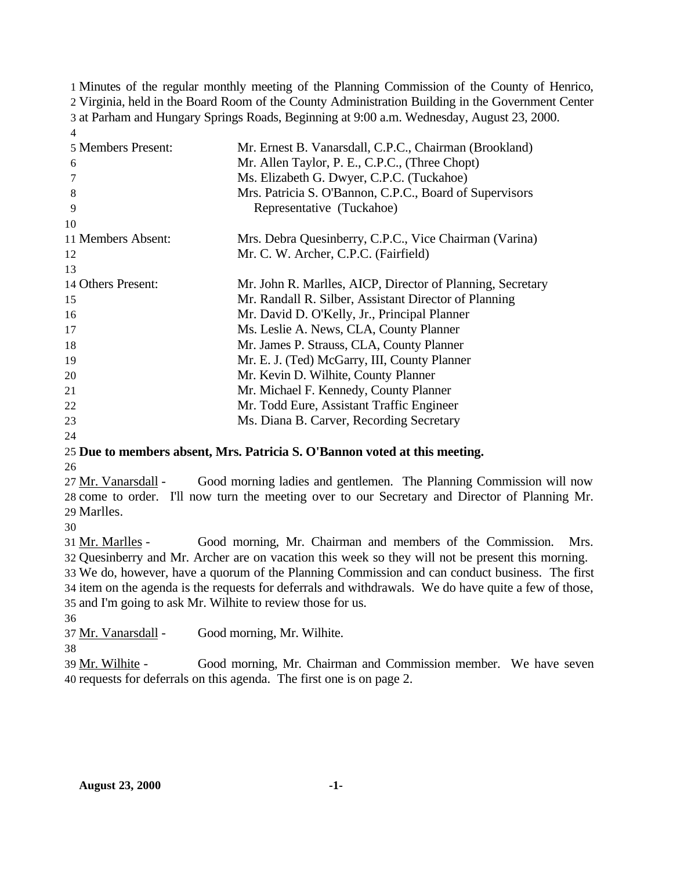Minutes of the regular monthly meeting of the Planning Commission of the County of Henrico, Virginia, held in the Board Room of the County Administration Building in the Government Center at Parham and Hungary Springs Roads, Beginning at 9:00 a.m. Wednesday, August 23, 2000.

| 4                  |                                                            |
|--------------------|------------------------------------------------------------|
| 5 Members Present: | Mr. Ernest B. Vanarsdall, C.P.C., Chairman (Brookland)     |
| 6                  | Mr. Allen Taylor, P. E., C.P.C., (Three Chopt)             |
| 7                  | Ms. Elizabeth G. Dwyer, C.P.C. (Tuckahoe)                  |
| 8                  | Mrs. Patricia S. O'Bannon, C.P.C., Board of Supervisors    |
| 9                  | Representative (Tuckahoe)                                  |
| 10                 |                                                            |
| 11 Members Absent: | Mrs. Debra Quesinberry, C.P.C., Vice Chairman (Varina)     |
| 12                 | Mr. C. W. Archer, C.P.C. (Fairfield)                       |
| 13                 |                                                            |
| 14 Others Present: | Mr. John R. Marlles, AICP, Director of Planning, Secretary |
| 15                 | Mr. Randall R. Silber, Assistant Director of Planning      |
| 16                 | Mr. David D. O'Kelly, Jr., Principal Planner               |
| 17                 | Ms. Leslie A. News, CLA, County Planner                    |
| 18                 | Mr. James P. Strauss, CLA, County Planner                  |
| 19                 | Mr. E. J. (Ted) McGarry, III, County Planner               |
| 20                 | Mr. Kevin D. Wilhite, County Planner                       |
| 21                 | Mr. Michael F. Kennedy, County Planner                     |
| 22                 | Mr. Todd Eure, Assistant Traffic Engineer                  |
| 23                 | Ms. Diana B. Carver, Recording Secretary                   |
| 24                 |                                                            |

# **Due to members absent, Mrs. Patricia S. O'Bannon voted at this meeting.**

27 Mr. Vanarsdall - Good morning ladies and gentlemen. The Planning Commission will now come to order. I'll now turn the meeting over to our Secretary and Director of Planning Mr. Marlles.

 Mr. Marlles - Good morning, Mr. Chairman and members of the Commission. Mrs. Quesinberry and Mr. Archer are on vacation this week so they will not be present this morning.

 We do, however, have a quorum of the Planning Commission and can conduct business. The first item on the agenda is the requests for deferrals and withdrawals. We do have quite a few of those, and I'm going to ask Mr. Wilhite to review those for us.

37 Mr. Vanarsdall - Good morning, Mr. Wilhite.

39 Mr. Wilhite - Good morning, Mr. Chairman and Commission member. We have seven requests for deferrals on this agenda. The first one is on page 2.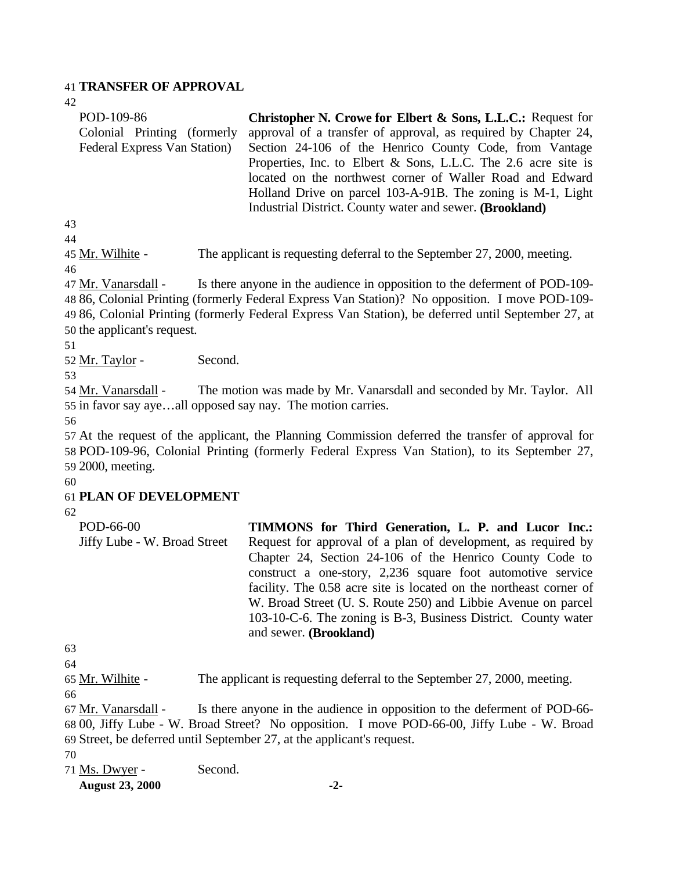#### 41 **TRANSFER OF APPROVAL**

 $42$ 

| Christopher N. Crowe for Elbert & Sons, L.L.C.: Request for    |
|----------------------------------------------------------------|
| approval of a transfer of approval, as required by Chapter 24, |
| Section 24-106 of the Henrico County Code, from Vantage        |
| Properties, Inc. to Elbert & Sons, L.L.C. The 2.6 acre site is |
| located on the northwest corner of Waller Road and Edward      |
| Holland Drive on parcel 103-A-91B. The zoning is M-1, Light    |
| Industrial District. County water and sewer. (Brookland)       |
|                                                                |
|                                                                |
|                                                                |

45 Mr. Wilhite - The applicant is requesting deferral to the September 27, 2000, meeting. 46

47 Mr. Vanarsdall - Is there anyone in the audience in opposition to the deferment of POD-109- 86, Colonial Printing (formerly Federal Express Van Station)? No opposition. I move POD-109- 86, Colonial Printing (formerly Federal Express Van Station), be deferred until September 27, at the applicant's request.

51

52 Mr. Taylor - Second.

53

54 Mr. Vanarsdall - The motion was made by Mr. Vanarsdall and seconded by Mr. Taylor. All 55 in favor say aye…all opposed say nay. The motion carries.

56

57 At the request of the applicant, the Planning Commission deferred the transfer of approval for 58 POD-109-96, Colonial Printing (formerly Federal Express Van Station), to its September 27, 59 2000, meeting.

60

#### 61 **PLAN OF DEVELOPMENT**

62

| POD-66-00                    | <b>TIMMONS</b> for Third Generation, L. P. and Lucor Inc.:         |
|------------------------------|--------------------------------------------------------------------|
| Jiffy Lube - W. Broad Street | Request for approval of a plan of development, as required by      |
|                              | Chapter 24, Section 24-106 of the Henrico County Code to           |
|                              | construct a one-story, 2,236 square foot automotive service        |
|                              | facility. The 0.58 acre site is located on the northeast corner of |
|                              | W. Broad Street (U. S. Route 250) and Libbie Avenue on parcel      |
|                              | 103-10-C-6. The zoning is B-3, Business District. County water     |
|                              | and sewer. ( <b>Brookland</b> )                                    |

63

64

65 Mr. Wilhite - The applicant is requesting deferral to the September 27, 2000, meeting.

66

67 Mr. Vanarsdall - Is there anyone in the audience in opposition to the deferment of POD-66- 68 00, Jiffy Lube - W. Broad Street? No opposition. I move POD-66-00, Jiffy Lube - W. Broad 69 Street, be deferred until September 27, at the applicant's request.

- 70
- 71 Ms. Dwyer Second.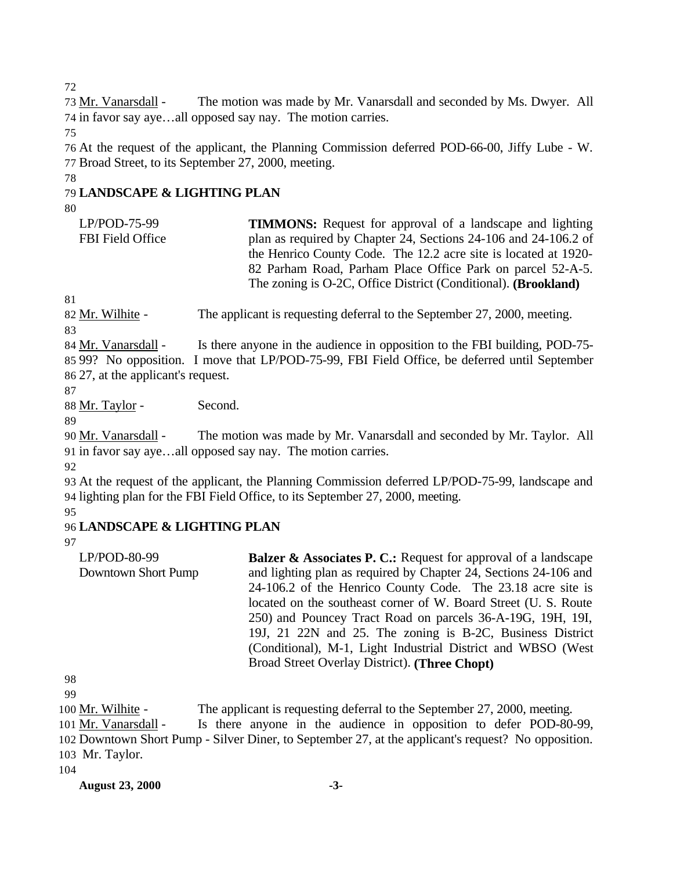72

73 Mr. Vanarsdall - The motion was made by Mr. Vanarsdall and seconded by Ms. Dwyer. All 74 in favor say aye…all opposed say nay. The motion carries.

75

76 At the request of the applicant, the Planning Commission deferred POD-66-00, Jiffy Lube - W. 77 Broad Street, to its September 27, 2000, meeting.

#### 78

### 79 **LANDSCAPE & LIGHTING PLAN**

#### 80

| $LP/POD-75-99$   | <b>TIMMONS:</b> Request for approval of a landscape and lighting        |
|------------------|-------------------------------------------------------------------------|
| FBI Field Office | plan as required by Chapter 24, Sections 24-106 and 24-106.2 of         |
|                  | the Henrico County Code. The 12.2 acre site is located at 1920-         |
|                  | 82 Parham Road, Parham Place Office Park on parcel 52-A-5.              |
|                  | The zoning is O-2C, Office District (Conditional). ( <b>Brookland</b> ) |

81

82 Mr. Wilhite - The applicant is requesting deferral to the September 27, 2000, meeting.

83

84 Mr. Vanarsdall - Is there anyone in the audience in opposition to the FBI building, POD-75-85 99? No opposition. I move that LP/POD-75-99, FBI Field Office, be deferred until September 86 27, at the applicant's request.

87

88 Mr. Taylor - Second.

89

90 Mr. Vanarsdall - The motion was made by Mr. Vanarsdall and seconded by Mr. Taylor. All 91 in favor say aye…all opposed say nay. The motion carries.

92

93 At the request of the applicant, the Planning Commission deferred LP/POD-75-99, landscape and 94 lighting plan for the FBI Field Office, to its September 27, 2000, meeting.

## 95

## 96 **LANDSCAPE & LIGHTING PLAN**

97

LP/POD-80-99 Downtown Short Pump **Balzer & Associates P. C.:** Request for approval of a landscape and lighting plan as required by Chapter 24, Sections 24-106 and 24-106.2 of the Henrico County Code. The 23.18 acre site is located on the southeast corner of W. Board Street (U. S. Route 250) and Pouncey Tract Road on parcels 36-A-19G, 19H, 19I, 19J, 21 22N and 25. The zoning is B-2C, Business District (Conditional), M-1, Light Industrial District and WBSO (West Broad Street Overlay District). **(Three Chopt)** 

98

99

100 Mr. Wilhite - The applicant is requesting deferral to the September 27, 2000, meeting.

101 Mr. Vanarsdall - Is there anyone in the audience in opposition to defer POD-80-99,

102 Downtown Short Pump - Silver Diner, to September 27, at the applicant's request? No opposition. 103 Mr. Taylor.

104

**August 23, 2000 -3-**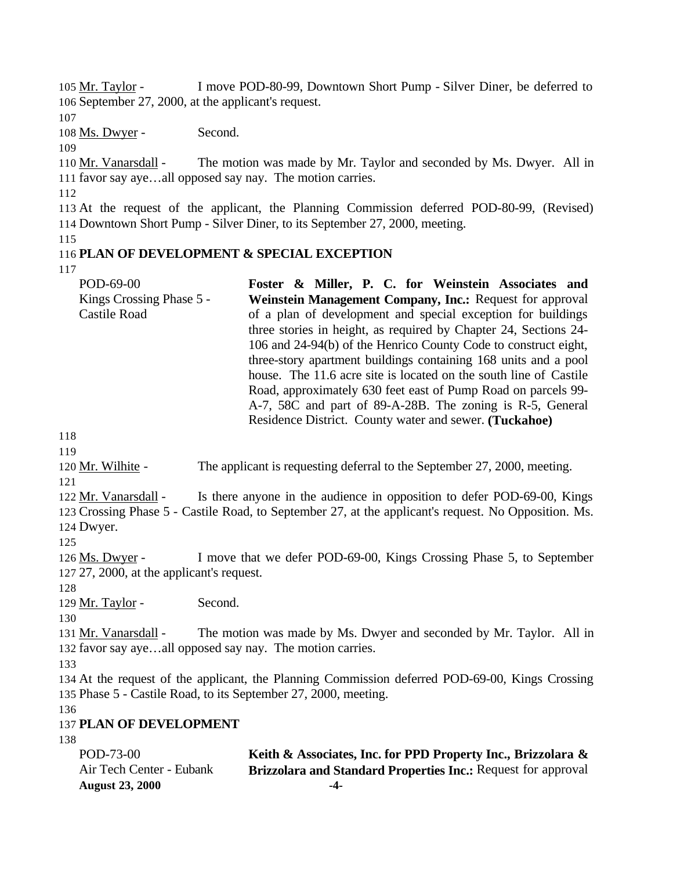105 Mr. Taylor - I move POD-80-99, Downtown Short Pump - Silver Diner, be deferred to 106 September 27, 2000, at the applicant's request. 107 108 Ms. Dwyer - Second. 109 110 Mr. Vanarsdall - The motion was made by Mr. Taylor and seconded by Ms. Dwyer. All in 111 favor say aye…all opposed say nay. The motion carries. 112 113 At the request of the applicant, the Planning Commission deferred POD-80-99, (Revised) 114 Downtown Short Pump - Silver Diner, to its September 27, 2000, meeting. 115 116 **PLAN OF DEVELOPMENT & SPECIAL EXCEPTION** 117 POD-69-00 Kings Crossing Phase 5 - Castile Road **Foster & Miller, P. C. for Weinstein Associates and Weinstein Management Company, Inc.:** Request for approval of a plan of development and special exception for buildings three stories in height, as required by Chapter 24, Sections 24- 106 and 24-94(b) of the Henrico County Code to construct eight, three-story apartment buildings containing 168 units and a pool house. The 11.6 acre site is located on the south line of Castile Road, approximately 630 feet east of Pump Road on parcels 99- A-7, 58C and part of 89-A-28B. The zoning is R-5, General Residence District. County water and sewer. **(Tuckahoe)** 118 119 120 Mr. Wilhite - The applicant is requesting deferral to the September 27, 2000, meeting. 121 122 Mr. Vanarsdall - Is there anyone in the audience in opposition to defer POD-69-00, Kings 123 Crossing Phase 5 - Castile Road, to September 27, at the applicant's request. No Opposition. Ms. 124 Dwyer. 125 126 Ms. Dwyer - I move that we defer POD-69-00, Kings Crossing Phase 5, to September 127 27, 2000, at the applicant's request. 128 129 Mr. Taylor - Second. 130 131 Mr. Vanarsdall - The motion was made by Ms. Dwyer and seconded by Mr. Taylor. All in 132 favor say aye…all opposed say nay. The motion carries. 133 134 At the request of the applicant, the Planning Commission deferred POD-69-00, Kings Crossing 135 Phase 5 - Castile Road, to its September 27, 2000, meeting. 136 137 **PLAN OF DEVELOPMENT** 138 POD-73-00 Air Tech Center - Eubank **Keith & Associates, Inc. for PPD Property Inc., Brizzolara & Brizzolara and Standard Properties Inc.:** Request for approval

**August 23, 2000 -4-**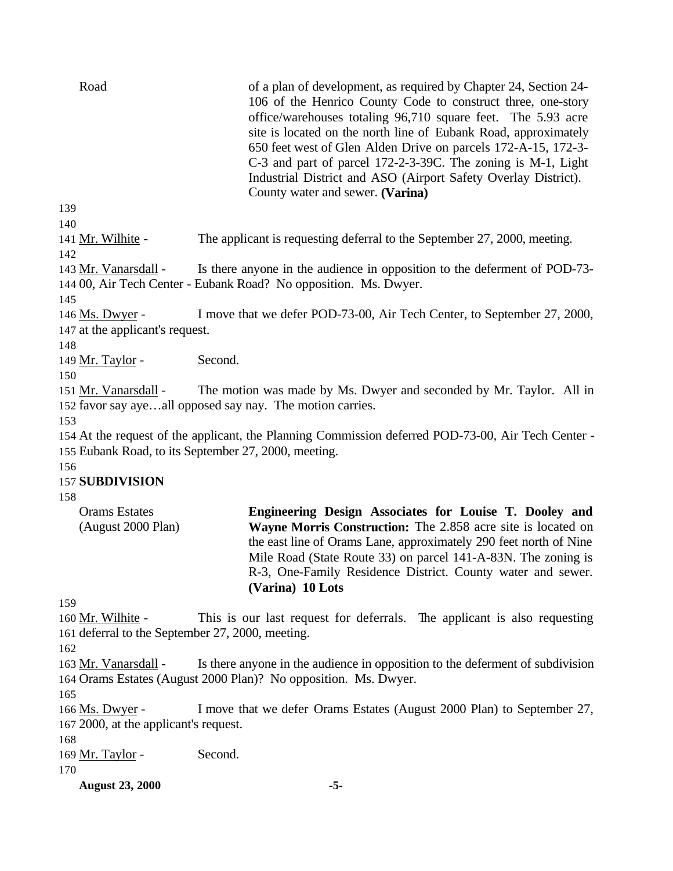| Road                                                      | of a plan of development, as required by Chapter 24, Section 24-<br>106 of the Henrico County Code to construct three, one-story<br>office/warehouses totaling 96,710 square feet. The 5.93 acre<br>site is located on the north line of Eubank Road, approximately<br>650 feet west of Glen Alden Drive on parcels 172-A-15, 172-3-<br>C-3 and part of parcel 172-2-3-39C. The zoning is M-1, Light<br>Industrial District and ASO (Airport Safety Overlay District).<br>County water and sewer. (Varina) |
|-----------------------------------------------------------|------------------------------------------------------------------------------------------------------------------------------------------------------------------------------------------------------------------------------------------------------------------------------------------------------------------------------------------------------------------------------------------------------------------------------------------------------------------------------------------------------------|
| 139                                                       |                                                                                                                                                                                                                                                                                                                                                                                                                                                                                                            |
| 140                                                       |                                                                                                                                                                                                                                                                                                                                                                                                                                                                                                            |
| 141 Mr. Wilhite -<br>142                                  | The applicant is requesting deferral to the September 27, 2000, meeting.                                                                                                                                                                                                                                                                                                                                                                                                                                   |
| 143 Mr. Vanarsdall -                                      | Is there anyone in the audience in opposition to the deferment of POD-73-<br>144 00, Air Tech Center - Eubank Road? No opposition. Ms. Dwyer.                                                                                                                                                                                                                                                                                                                                                              |
| 145<br>146 Ms. Dwyer -<br>147 at the applicant's request. | I move that we defer POD-73-00, Air Tech Center, to September 27, 2000,                                                                                                                                                                                                                                                                                                                                                                                                                                    |
| 148                                                       |                                                                                                                                                                                                                                                                                                                                                                                                                                                                                                            |
| 149 Mr. Taylor -                                          | Second.                                                                                                                                                                                                                                                                                                                                                                                                                                                                                                    |
| 150                                                       |                                                                                                                                                                                                                                                                                                                                                                                                                                                                                                            |
| 151 Mr. Vanarsdall -                                      | The motion was made by Ms. Dwyer and seconded by Mr. Taylor. All in<br>152 favor say ayeall opposed say nay. The motion carries.                                                                                                                                                                                                                                                                                                                                                                           |
| 153                                                       |                                                                                                                                                                                                                                                                                                                                                                                                                                                                                                            |
|                                                           | 154 At the request of the applicant, the Planning Commission deferred POD-73-00, Air Tech Center -                                                                                                                                                                                                                                                                                                                                                                                                         |
|                                                           | 155 Eubank Road, to its September 27, 2000, meeting.                                                                                                                                                                                                                                                                                                                                                                                                                                                       |
| 156                                                       |                                                                                                                                                                                                                                                                                                                                                                                                                                                                                                            |
| <b>157 SUBDIVISION</b>                                    |                                                                                                                                                                                                                                                                                                                                                                                                                                                                                                            |
| 158                                                       |                                                                                                                                                                                                                                                                                                                                                                                                                                                                                                            |
| <b>Orams Estates</b><br>(August 2000 Plan)                | Engineering Design Associates for Louise T. Dooley and<br>Wayne Morris Construction: The 2.858 acre site is located on<br>the east line of Orams Lane, approximately 290 feet north of Nine<br>Mile Road (State Route 33) on parcel 141-A-83N. The zoning is<br>R-3, One-Family Residence District. County water and sewer.<br>(Varina) 10 Lots                                                                                                                                                            |
| 159                                                       |                                                                                                                                                                                                                                                                                                                                                                                                                                                                                                            |
| 160 Mr. Wilhite -                                         | This is our last request for deferrals. The applicant is also requesting                                                                                                                                                                                                                                                                                                                                                                                                                                   |
| 161 deferral to the September 27, 2000, meeting.          |                                                                                                                                                                                                                                                                                                                                                                                                                                                                                                            |
| 162                                                       |                                                                                                                                                                                                                                                                                                                                                                                                                                                                                                            |
| 163 Mr. Vanarsdall -                                      | Is there anyone in the audience in opposition to the deferment of subdivision                                                                                                                                                                                                                                                                                                                                                                                                                              |
|                                                           | 164 Orams Estates (August 2000 Plan)? No opposition. Ms. Dwyer.                                                                                                                                                                                                                                                                                                                                                                                                                                            |
| 165                                                       |                                                                                                                                                                                                                                                                                                                                                                                                                                                                                                            |
| 166 Ms. Dwyer -                                           | I move that we defer Orams Estates (August 2000 Plan) to September 27,                                                                                                                                                                                                                                                                                                                                                                                                                                     |
| 167 2000, at the applicant's request.                     |                                                                                                                                                                                                                                                                                                                                                                                                                                                                                                            |
| 168                                                       |                                                                                                                                                                                                                                                                                                                                                                                                                                                                                                            |
| 169 Mr. Taylor -                                          | Second.                                                                                                                                                                                                                                                                                                                                                                                                                                                                                                    |
| 170                                                       |                                                                                                                                                                                                                                                                                                                                                                                                                                                                                                            |
| <b>August 23, 2000</b>                                    | $-5-$                                                                                                                                                                                                                                                                                                                                                                                                                                                                                                      |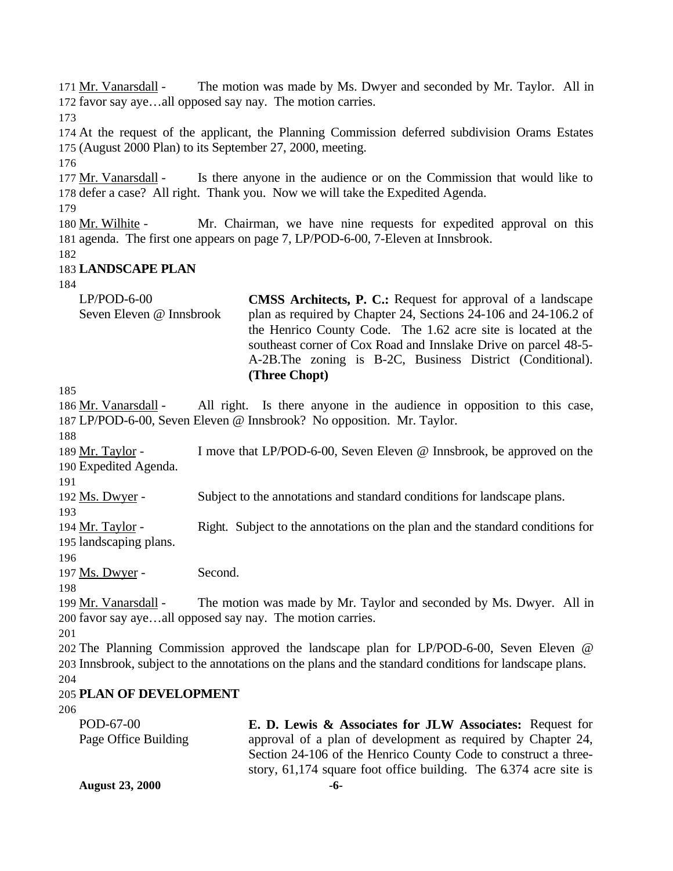**August 23, 2000 -6-** Mr. Vanarsdall - The motion was made by Ms. Dwyer and seconded by Mr. Taylor. All in favor say aye…all opposed say nay. The motion carries. At the request of the applicant, the Planning Commission deferred subdivision Orams Estates (August 2000 Plan) to its September 27, 2000, meeting. 177 Mr. Vanarsdall - Is there anyone in the audience or on the Commission that would like to defer a case? All right. Thank you. Now we will take the Expedited Agenda. 180 Mr. Wilhite - Mr. Chairman, we have nine requests for expedited approval on this agenda. The first one appears on page 7, LP/POD-6-00, 7-Eleven at Innsbrook. **LANDSCAPE PLAN** LP/POD-6-00 Seven Eleven @ Innsbrook **CMSS Architects, P. C.:** Request for approval of a landscape plan as required by Chapter 24, Sections 24-106 and 24-106.2 of the Henrico County Code. The 1.62 acre site is located at the southeast corner of Cox Road and Innslake Drive on parcel 48-5- A-2B.The zoning is B-2C, Business District (Conditional). **(Three Chopt)**  Mr. Vanarsdall - All right. Is there anyone in the audience in opposition to this case, LP/POD-6-00, Seven Eleven @ Innsbrook? No opposition. Mr. Taylor. 189 Mr. Taylor - I move that LP/POD-6-00, Seven Eleven @ Innsbrook, be approved on the Expedited Agenda. Ms. Dwyer - Subject to the annotations and standard conditions for landscape plans. Mr. Taylor - Right. Subject to the annotations on the plan and the standard conditions for landscaping plans. 197 Ms. Dwyer - Second. Mr. Vanarsdall - The motion was made by Mr. Taylor and seconded by Ms. Dwyer. All in favor say aye…all opposed say nay. The motion carries. The Planning Commission approved the landscape plan for LP/POD-6-00, Seven Eleven @ Innsbrook, subject to the annotations on the plans and the standard conditions for landscape plans. **PLAN OF DEVELOPMENT** POD-67-00 Page Office Building **E. D. Lewis & Associates for JLW Associates:** Request for approval of a plan of development as required by Chapter 24, Section 24-106 of the Henrico County Code to construct a threestory, 61,174 square foot office building. The 6.374 acre site is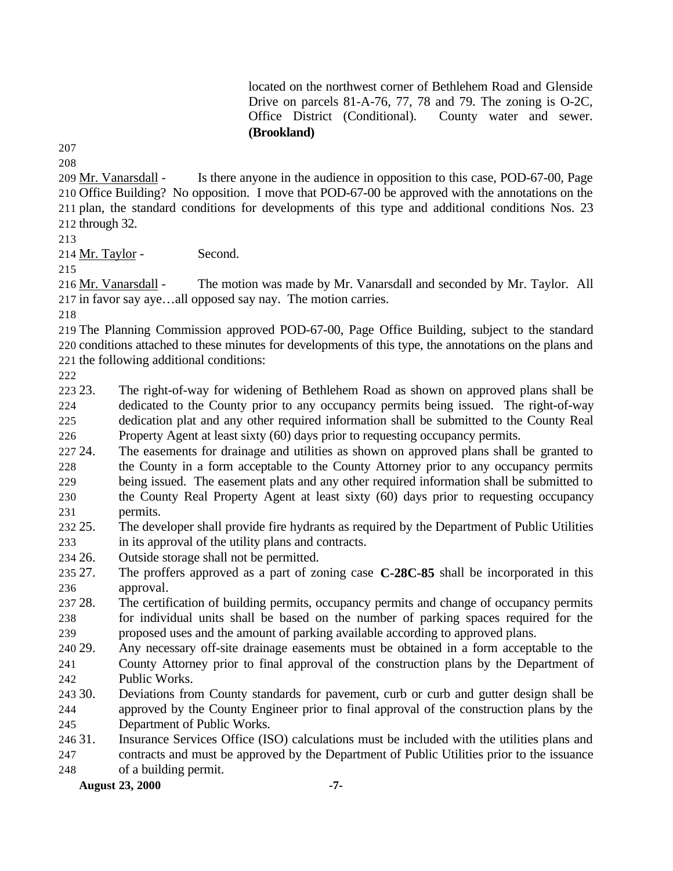located on the northwest corner of Bethlehem Road and Glenside Drive on parcels 81-A-76, 77, 78 and 79. The zoning is O-2C, Office District (Conditional). County water and sewer. **(Brookland)**

 Mr. Vanarsdall - Is there anyone in the audience in opposition to this case, POD-67-00, Page Office Building? No opposition. I move that POD-67-00 be approved with the annotations on the plan, the standard conditions for developments of this type and additional conditions Nos. 23 through 32.

214 Mr. Taylor - Second.

216 Mr. Vanarsdall - The motion was made by Mr. Vanarsdall and seconded by Mr. Taylor. All in favor say aye…all opposed say nay. The motion carries.

 The Planning Commission approved POD-67-00, Page Office Building, subject to the standard conditions attached to these minutes for developments of this type, the annotations on the plans and the following additional conditions:

 23. The right-of-way for widening of Bethlehem Road as shown on approved plans shall be dedicated to the County prior to any occupancy permits being issued. The right-of-way dedication plat and any other required information shall be submitted to the County Real Property Agent at least sixty (60) days prior to requesting occupancy permits.

- 24. The easements for drainage and utilities as shown on approved plans shall be granted to the County in a form acceptable to the County Attorney prior to any occupancy permits being issued. The easement plats and any other required information shall be submitted to the County Real Property Agent at least sixty (60) days prior to requesting occupancy permits.
- 25. The developer shall provide fire hydrants as required by the Department of Public Utilities in its approval of the utility plans and contracts.
- 26. Outside storage shall not be permitted.

 27. The proffers approved as a part of zoning case **C-28C-85** shall be incorporated in this approval.

- 28. The certification of building permits, occupancy permits and change of occupancy permits for individual units shall be based on the number of parking spaces required for the proposed uses and the amount of parking available according to approved plans.
- 29. Any necessary off-site drainage easements must be obtained in a form acceptable to the
- County Attorney prior to final approval of the construction plans by the Department of Public Works.
- 30. Deviations from County standards for pavement, curb or curb and gutter design shall be approved by the County Engineer prior to final approval of the construction plans by the Department of Public Works.
- 31. Insurance Services Office (ISO) calculations must be included with the utilities plans and

 contracts and must be approved by the Department of Public Utilities prior to the issuance of a building permit.

**August 23, 2000 -7-**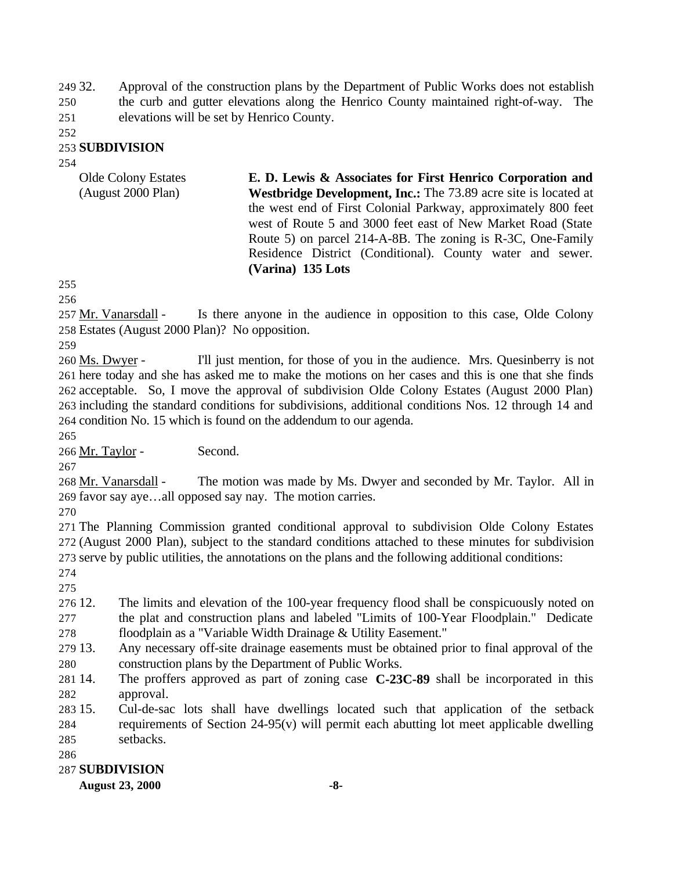32. Approval of the construction plans by the Department of Public Works does not establish the curb and gutter elevations along the Henrico County maintained right-of-way. The elevations will be set by Henrico County.

#### **SUBDIVISION**

| <b>Olde Colony Estates</b> | E. D. Lewis & Associates for First Henrico Corporation and             |
|----------------------------|------------------------------------------------------------------------|
| (August 2000 Plan)         | <b>Westbridge Development, Inc.:</b> The 73.89 acre site is located at |
|                            | the west end of First Colonial Parkway, approximately 800 feet         |
|                            | west of Route 5 and 3000 feet east of New Market Road (State)          |
|                            | Route 5) on parcel 214-A-8B. The zoning is R-3C, One-Family            |
|                            | Residence District (Conditional). County water and sewer.              |
|                            | (Varina) 135 Lots                                                      |

 Mr. Vanarsdall - Is there anyone in the audience in opposition to this case, Olde Colony Estates (August 2000 Plan)? No opposition.

260 Ms. Dwyer - I'll just mention, for those of you in the audience. Mrs. Quesinberry is not here today and she has asked me to make the motions on her cases and this is one that she finds acceptable. So, I move the approval of subdivision Olde Colony Estates (August 2000 Plan) including the standard conditions for subdivisions, additional conditions Nos. 12 through 14 and condition No. 15 which is found on the addendum to our agenda.

Mr. Taylor - Second.

 Mr. Vanarsdall - The motion was made by Ms. Dwyer and seconded by Mr. Taylor. All in favor say aye…all opposed say nay. The motion carries.

 The Planning Commission granted conditional approval to subdivision Olde Colony Estates (August 2000 Plan), subject to the standard conditions attached to these minutes for subdivision serve by public utilities, the annotations on the plans and the following additional conditions:

 12. The limits and elevation of the 100-year frequency flood shall be conspicuously noted on the plat and construction plans and labeled "Limits of 100-Year Floodplain." Dedicate floodplain as a "Variable Width Drainage & Utility Easement."

 13. Any necessary off-site drainage easements must be obtained prior to final approval of the construction plans by the Department of Public Works.

 14. The proffers approved as part of zoning case **C-23C-89** shall be incorporated in this approval.

 15. Cul-de-sac lots shall have dwellings located such that application of the setback requirements of Section 24-95(v) will permit each abutting lot meet applicable dwelling setbacks.

#### **SUBDIVISION**

**August 23, 2000 -8-**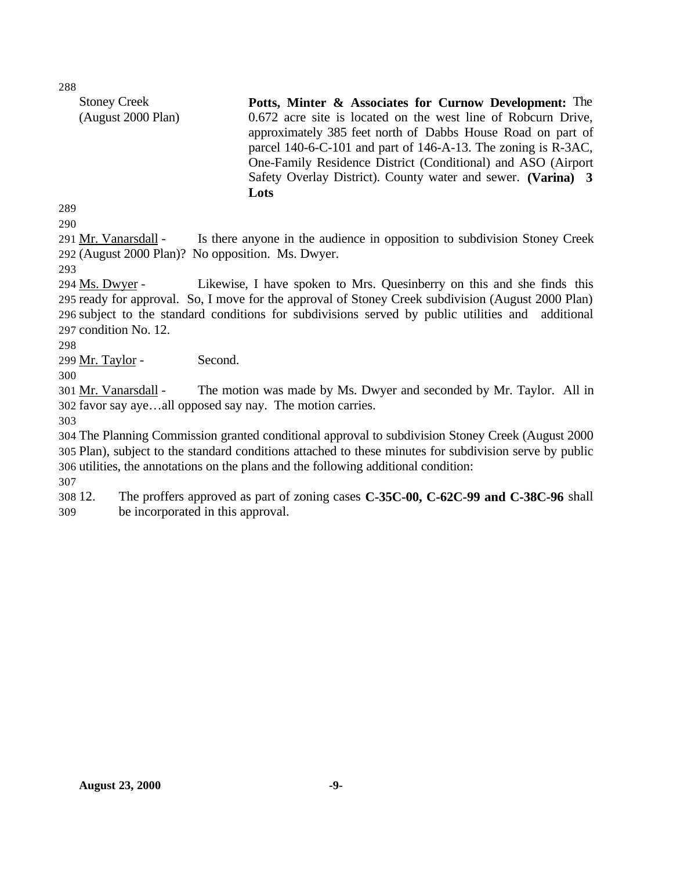Stoney Creek (August 2000 Plan) **Potts, Minter & Associates for Curnow Development:** The 0.672 acre site is located on the west line of Robcurn Drive, approximately 385 feet north of Dabbs House Road on part of parcel 140-6-C-101 and part of 146-A-13. The zoning is R-3AC, One-Family Residence District (Conditional) and ASO (Airport Safety Overlay District). County water and sewer. **(Varina) 3 Lots**  

 Mr. Vanarsdall - Is there anyone in the audience in opposition to subdivision Stoney Creek (August 2000 Plan)? No opposition. Ms. Dwyer.

294 Ms. Dwyer - Likewise, I have spoken to Mrs. Quesinberry on this and she finds this ready for approval. So, I move for the approval of Stoney Creek subdivision (August 2000 Plan) subject to the standard conditions for subdivisions served by public utilities and additional condition No. 12.

Mr. Taylor - Second.

 Mr. Vanarsdall - The motion was made by Ms. Dwyer and seconded by Mr. Taylor. All in favor say aye…all opposed say nay. The motion carries.

 The Planning Commission granted conditional approval to subdivision Stoney Creek (August 2000 Plan), subject to the standard conditions attached to these minutes for subdivision serve by public utilities, the annotations on the plans and the following additional condition:

 12. The proffers approved as part of zoning cases **C-35C-00, C-62C-99 and C-38C-96** shall be incorporated in this approval.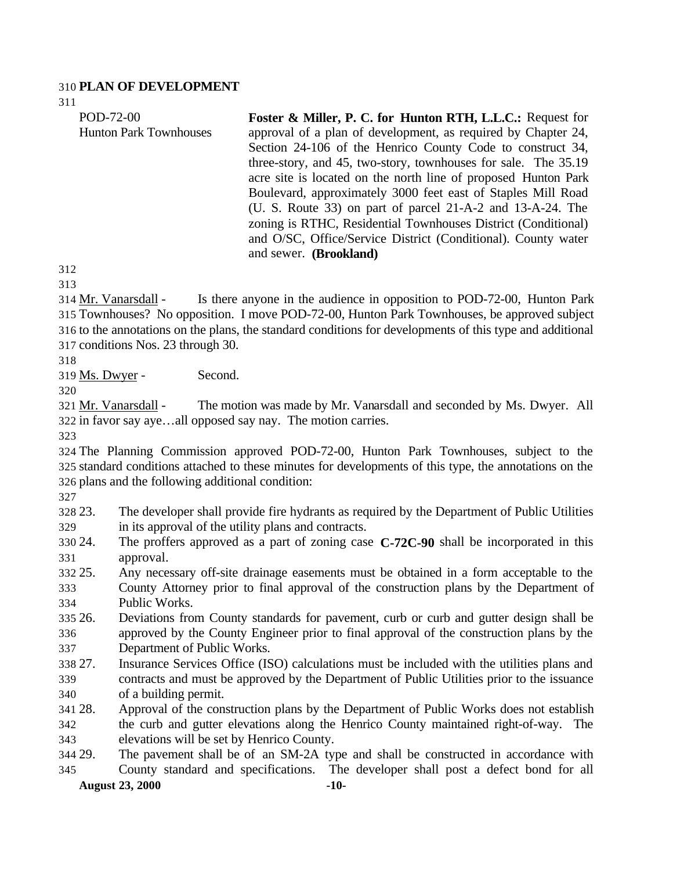#### **PLAN OF DEVELOPMENT**

| POD-72-00                     | Foster & Miller, P. C. for Hunton RTH, L.L.C.: Request for     |
|-------------------------------|----------------------------------------------------------------|
| <b>Hunton Park Townhouses</b> | approval of a plan of development, as required by Chapter 24,  |
|                               | Section 24-106 of the Henrico County Code to construct 34,     |
|                               | three-story, and 45, two-story, townhouses for sale. The 35.19 |
|                               | acre site is located on the north line of proposed Hunton Park |
|                               | Boulevard, approximately 3000 feet east of Staples Mill Road   |
|                               | (U. S. Route 33) on part of parcel 21-A-2 and 13-A-24. The     |
|                               | zoning is RTHC, Residential Townhouses District (Conditional)  |
|                               | and O/SC, Office/Service District (Conditional). County water  |
|                               | and sewer. ( <b>Brookland</b> )                                |
| 312                           |                                                                |
| 212                           |                                                                |

 Mr. Vanarsdall - Is there anyone in the audience in opposition to POD-72-00, Hunton Park Townhouses? No opposition. I move POD-72-00, Hunton Park Townhouses, be approved subject to the annotations on the plans, the standard conditions for developments of this type and additional conditions Nos. 23 through 30.

319 Ms. Dwyer - Second.

 Mr. Vanarsdall - The motion was made by Mr. Vanarsdall and seconded by Ms. Dwyer. All in favor say aye…all opposed say nay. The motion carries.

 The Planning Commission approved POD-72-00, Hunton Park Townhouses, subject to the standard conditions attached to these minutes for developments of this type, the annotations on the plans and the following additional condition:

- 23. The developer shall provide fire hydrants as required by the Department of Public Utilities in its approval of the utility plans and contracts.
- 24. The proffers approved as a part of zoning case **C-72C-90** shall be incorporated in this approval.
- 25. Any necessary off-site drainage easements must be obtained in a form acceptable to the County Attorney prior to final approval of the construction plans by the Department of Public Works.
- 26. Deviations from County standards for pavement, curb or curb and gutter design shall be approved by the County Engineer prior to final approval of the construction plans by the Department of Public Works.
- 27. Insurance Services Office (ISO) calculations must be included with the utilities plans and contracts and must be approved by the Department of Public Utilities prior to the issuance of a building permit.
- 28. Approval of the construction plans by the Department of Public Works does not establish the curb and gutter elevations along the Henrico County maintained right-of-way. The elevations will be set by Henrico County.
- **August 23, 2000 -10-** 29. The pavement shall be of an SM-2A type and shall be constructed in accordance with County standard and specifications. The developer shall post a defect bond for all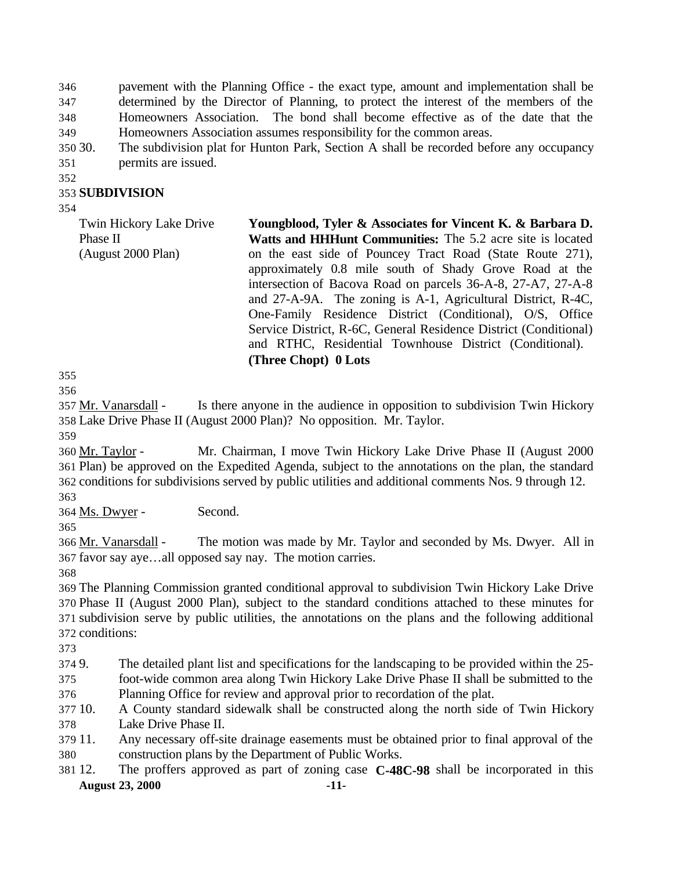pavement with the Planning Office - the exact type, amount and implementation shall be determined by the Director of Planning, to protect the interest of the members of the Homeowners Association. The bond shall become effective as of the date that the Homeowners Association assumes responsibility for the common areas.

- 30. The subdivision plat for Hunton Park, Section A shall be recorded before any occupancy permits are issued.
- 

#### **SUBDIVISION**

| Twin Hickory Lake Drive<br>Phase II<br>(August 2000 Plan) | Youngblood, Tyler & Associates for Vincent K. & Barbara D.<br>Watts and HHHunt Communities: The 5.2 acre site is located<br>on the east side of Pouncey Tract Road (State Route 271),<br>approximately 0.8 mile south of Shady Grove Road at the<br>intersection of Bacova Road on parcels 36-A-8, 27-A7, 27-A-8<br>and 27-A-9A. The zoning is A-1, Agricultural District, R-4C,<br>One-Family Residence District (Conditional), O/S, Office |
|-----------------------------------------------------------|----------------------------------------------------------------------------------------------------------------------------------------------------------------------------------------------------------------------------------------------------------------------------------------------------------------------------------------------------------------------------------------------------------------------------------------------|
|                                                           | Service District, R-6C, General Residence District (Conditional)<br>and RTHC, Residential Townhouse District (Conditional).<br>(Three Chopt) 0 Lots                                                                                                                                                                                                                                                                                          |

 

 Mr. Vanarsdall - Is there anyone in the audience in opposition to subdivision Twin Hickory Lake Drive Phase II (August 2000 Plan)? No opposition. Mr. Taylor.

 Mr. Taylor - Mr. Chairman, I move Twin Hickory Lake Drive Phase II (August 2000 Plan) be approved on the Expedited Agenda, subject to the annotations on the plan, the standard conditions for subdivisions served by public utilities and additional comments Nos. 9 through 12. 

364 Ms. Dwyer - Second.

 Mr. Vanarsdall - The motion was made by Mr. Taylor and seconded by Ms. Dwyer. All in favor say aye…all opposed say nay. The motion carries.

 The Planning Commission granted conditional approval to subdivision Twin Hickory Lake Drive Phase II (August 2000 Plan), subject to the standard conditions attached to these minutes for subdivision serve by public utilities, the annotations on the plans and the following additional conditions:

9. The detailed plant list and specifications for the landscaping to be provided within the 25-

- foot-wide common area along Twin Hickory Lake Drive Phase II shall be submitted to the Planning Office for review and approval prior to recordation of the plat.
- 10. A County standard sidewalk shall be constructed along the north side of Twin Hickory Lake Drive Phase II.
- 11. Any necessary off-site drainage easements must be obtained prior to final approval of the construction plans by the Department of Public Works.
- **August 23, 2000 -11-** 12. The proffers approved as part of zoning case **C-48C-98** shall be incorporated in this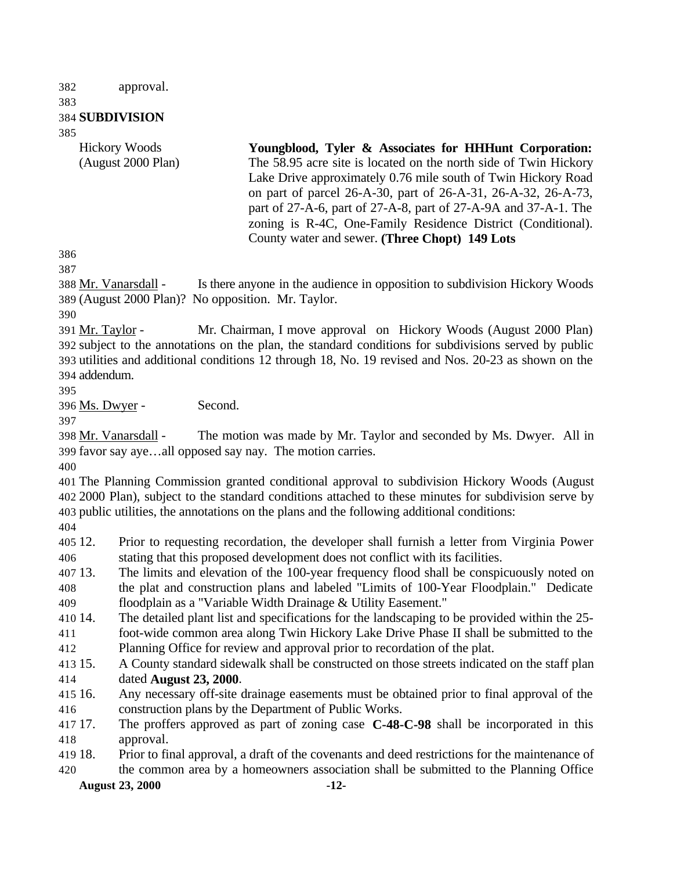approval.

#### **SUBDIVISION**

Hickory Woods (August 2000 Plan)

**Youngblood, Tyler & Associates for HHHunt Corporation:** The 58.95 acre site is located on the north side of Twin Hickory Lake Drive approximately 0.76 mile south of Twin Hickory Road on part of parcel 26-A-30, part of 26-A-31, 26-A-32, 26-A-73, part of 27-A-6, part of 27-A-8, part of 27-A-9A and 37-A-1. The zoning is R-4C, One-Family Residence District (Conditional). County water and sewer. **(Three Chopt) 149 Lots** 

388 Mr. Vanarsdall - Is there anyone in the audience in opposition to subdivision Hickory Woods (August 2000 Plan)? No opposition. Mr. Taylor.

 Mr. Taylor - Mr. Chairman, I move approval on Hickory Woods (August 2000 Plan) subject to the annotations on the plan, the standard conditions for subdivisions served by public utilities and additional conditions 12 through 18, No. 19 revised and Nos. 20-23 as shown on the addendum.

Ms. Dwyer - Second.

 Mr. Vanarsdall - The motion was made by Mr. Taylor and seconded by Ms. Dwyer. All in favor say aye…all opposed say nay. The motion carries.

 The Planning Commission granted conditional approval to subdivision Hickory Woods (August 2000 Plan), subject to the standard conditions attached to these minutes for subdivision serve by public utilities, the annotations on the plans and the following additional conditions:

 12. Prior to requesting recordation, the developer shall furnish a letter from Virginia Power stating that this proposed development does not conflict with its facilities.

 13. The limits and elevation of the 100-year frequency flood shall be conspicuously noted on the plat and construction plans and labeled "Limits of 100-Year Floodplain." Dedicate

floodplain as a "Variable Width Drainage & Utility Easement."

- 14. The detailed plant list and specifications for the landscaping to be provided within the 25- foot-wide common area along Twin Hickory Lake Drive Phase II shall be submitted to the
- Planning Office for review and approval prior to recordation of the plat.
- 15. A County standard sidewalk shall be constructed on those streets indicated on the staff plan dated **August 23, 2000**.
- 16. Any necessary off-site drainage easements must be obtained prior to final approval of the construction plans by the Department of Public Works.
- 17. The proffers approved as part of zoning case **C-48-C-98** shall be incorporated in this approval.
- 18. Prior to final approval, a draft of the covenants and deed restrictions for the maintenance of

the common area by a homeowners association shall be submitted to the Planning Office

**August 23, 2000 -12-**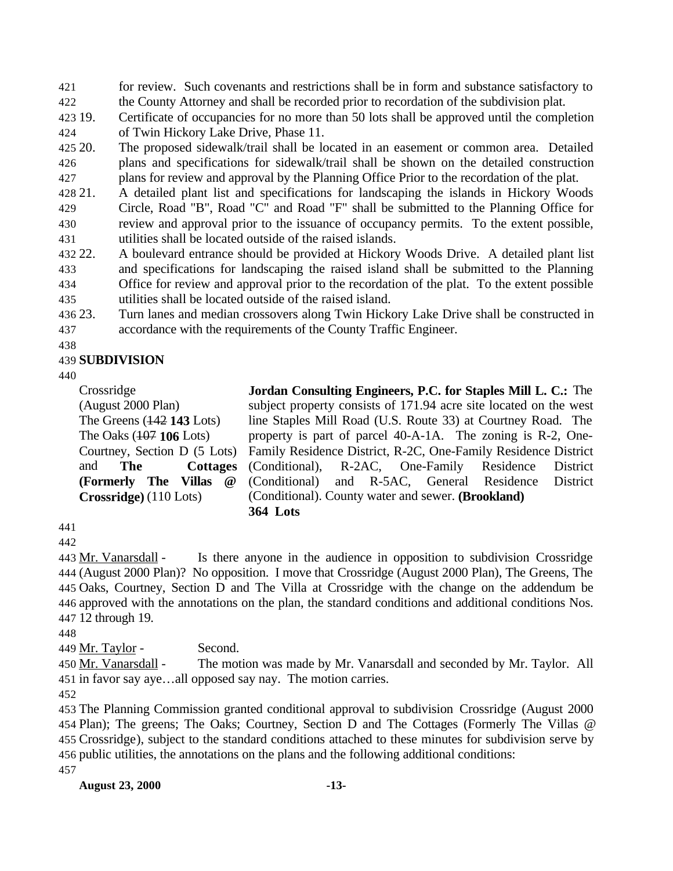for review. Such covenants and restrictions shall be in form and substance satisfactory to

the County Attorney and shall be recorded prior to recordation of the subdivision plat.

 19. Certificate of occupancies for no more than 50 lots shall be approved until the completion of Twin Hickory Lake Drive, Phase 11.

 20. The proposed sidewalk/trail shall be located in an easement or common area. Detailed plans and specifications for sidewalk/trail shall be shown on the detailed construction plans for review and approval by the Planning Office Prior to the recordation of the plat.

- 21. A detailed plant list and specifications for landscaping the islands in Hickory Woods Circle, Road "B", Road "C" and Road "F" shall be submitted to the Planning Office for review and approval prior to the issuance of occupancy permits. To the extent possible, utilities shall be located outside of the raised islands.
- 22. A boulevard entrance should be provided at Hickory Woods Drive. A detailed plant list and specifications for landscaping the raised island shall be submitted to the Planning Office for review and approval prior to the recordation of the plat. To the extent possible utilities shall be located outside of the raised island.
- 
- 23. Turn lanes and median crossovers along Twin Hickory Lake Drive shall be constructed in accordance with the requirements of the County Traffic Engineer.
- 

#### **SUBDIVISION**

Crossridge (August 2000 Plan) The Greens (142 **143** Lots) The Oaks (107 **106** Lots) Courtney, Section D (5 Lots) and **The Cottages (Formerly The Villas @ Crossridge)** (110 Lots)

**Jordan Consulting Engineers, P.C. for Staples Mill L. C.:** The subject property consists of 171.94 acre site located on the west line Staples Mill Road (U.S. Route 33) at Courtney Road. The property is part of parcel 40-A-1A. The zoning is R-2, One-Family Residence District, R-2C, One-Family Residence District (Conditional), R-2AC, One-Family Residence District (Conditional) and R-5AC, General Residence District (Conditional). County water and sewer. **(Brookland) 364 Lots** 

 Mr. Vanarsdall - Is there anyone in the audience in opposition to subdivision Crossridge (August 2000 Plan)? No opposition. I move that Crossridge (August 2000 Plan), The Greens, The Oaks, Courtney, Section D and The Villa at Crossridge with the change on the addendum be approved with the annotations on the plan, the standard conditions and additional conditions Nos. 12 through 19.

449 Mr. Taylor - Second.

450 Mr. Vanarsdall - The motion was made by Mr. Vanarsdall and seconded by Mr. Taylor. All in favor say aye…all opposed say nay. The motion carries.

 The Planning Commission granted conditional approval to subdivision Crossridge (August 2000 Plan); The greens; The Oaks; Courtney, Section D and The Cottages (Formerly The Villas @ Crossridge), subject to the standard conditions attached to these minutes for subdivision serve by public utilities, the annotations on the plans and the following additional conditions: 

**August 23, 2000 -13-**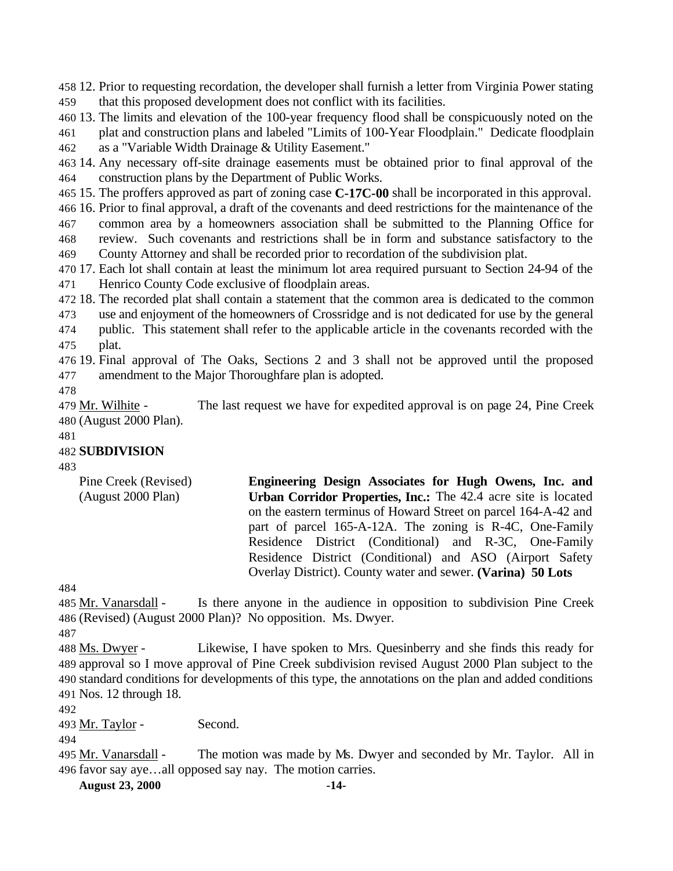12. Prior to requesting recordation, the developer shall furnish a letter from Virginia Power stating that this proposed development does not conflict with its facilities.

- 13. The limits and elevation of the 100-year frequency flood shall be conspicuously noted on the plat and construction plans and labeled "Limits of 100-Year Floodplain." Dedicate floodplain
- as a "Variable Width Drainage & Utility Easement."
- 14. Any necessary off-site drainage easements must be obtained prior to final approval of the construction plans by the Department of Public Works.
- 15. The proffers approved as part of zoning case **C-17C-00** shall be incorporated in this approval.
- 16. Prior to final approval, a draft of the covenants and deed restrictions for the maintenance of the common area by a homeowners association shall be submitted to the Planning Office for
- review. Such covenants and restrictions shall be in form and substance satisfactory to the County Attorney and shall be recorded prior to recordation of the subdivision plat.
- 17. Each lot shall contain at least the minimum lot area required pursuant to Section 24-94 of the Henrico County Code exclusive of floodplain areas.
- 18. The recorded plat shall contain a statement that the common area is dedicated to the common use and enjoyment of the homeowners of Crossridge and is not dedicated for use by the general

 public. This statement shall refer to the applicable article in the covenants recorded with the plat.

- 19. Final approval of The Oaks, Sections 2 and 3 shall not be approved until the proposed amendment to the Major Thoroughfare plan is adopted.
- 

 Mr. Wilhite - The last request we have for expedited approval is on page 24, Pine Creek (August 2000 Plan).

#### **SUBDIVISION**

| Pine Creek (Revised) | Engineering Design Associates for Hugh Owens, Inc. and          |
|----------------------|-----------------------------------------------------------------|
| (August 2000 Plan)   | Urban Corridor Properties, Inc.: The 42.4 acre site is located  |
|                      | on the eastern terminus of Howard Street on parcel 164-A-42 and |
|                      | part of parcel 165-A-12A. The zoning is R-4C, One-Family        |
|                      | Residence District (Conditional) and R-3C, One-Family           |
|                      | Residence District (Conditional) and ASO (Airport Safety        |
|                      | Overlay District). County water and sewer. (Varina) 50 Lots     |

485 Mr. Vanarsdall - Is there anyone in the audience in opposition to subdivision Pine Creek (Revised) (August 2000 Plan)? No opposition. Ms. Dwyer.

488 Ms. Dwyer - Likewise, I have spoken to Mrs. Quesinberry and she finds this ready for approval so I move approval of Pine Creek subdivision revised August 2000 Plan subject to the standard conditions for developments of this type, the annotations on the plan and added conditions Nos. 12 through 18.

493 Mr. Taylor - Second.

495 Mr. Vanarsdall - The motion was made by Ms. Dwyer and seconded by Mr. Taylor. All in favor say aye…all opposed say nay. The motion carries.

**August 23, 2000 -14-**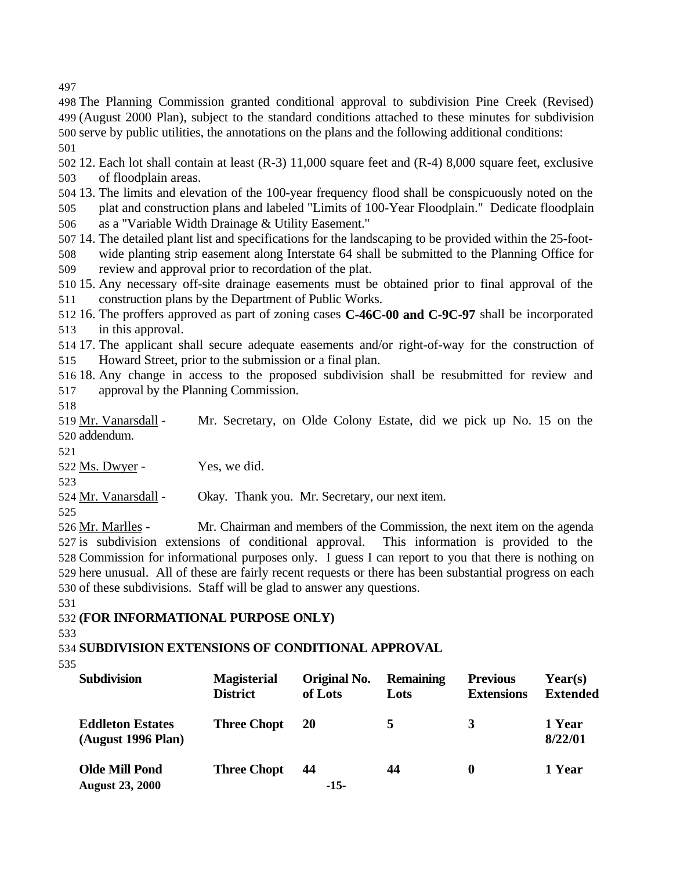The Planning Commission granted conditional approval to subdivision Pine Creek (Revised) (August 2000 Plan), subject to the standard conditions attached to these minutes for subdivision serve by public utilities, the annotations on the plans and the following additional conditions: 

 12. Each lot shall contain at least (R-3) 11,000 square feet and (R-4) 8,000 square feet, exclusive of floodplain areas.

 13. The limits and elevation of the 100-year frequency flood shall be conspicuously noted on the plat and construction plans and labeled "Limits of 100-Year Floodplain." Dedicate floodplain as a "Variable Width Drainage & Utility Easement."

 14. The detailed plant list and specifications for the landscaping to be provided within the 25-foot- wide planting strip easement along Interstate 64 shall be submitted to the Planning Office for review and approval prior to recordation of the plat.

 15. Any necessary off-site drainage easements must be obtained prior to final approval of the construction plans by the Department of Public Works.

 16. The proffers approved as part of zoning cases **C-46C-00 and C-9C-97** shall be incorporated in this approval.

 17. The applicant shall secure adequate easements and/or right-of-way for the construction of Howard Street, prior to the submission or a final plan.

 18. Any change in access to the proposed subdivision shall be resubmitted for review and approval by the Planning Commission.

519 Mr. Vanarsdall - Mr. Secretary, on Olde Colony Estate, did we pick up No. 15 on the addendum.

Ms. Dwyer - Yes, we did.

Mr. Vanarsdall - Okay. Thank you. Mr. Secretary, our next item.

 Mr. Marlles - Mr. Chairman and members of the Commission, the next item on the agenda is subdivision extensions of conditional approval. This information is provided to the Commission for informational purposes only. I guess I can report to you that there is nothing on here unusual. All of these are fairly recent requests or there has been substantial progress on each of these subdivisions. Staff will be glad to answer any questions.

**(FOR INFORMATIONAL PURPOSE ONLY)**

**SUBDIVISION EXTENSIONS OF CONDITIONAL APPROVAL**

| <b>Subdivision</b>                              | <b>Magisterial</b><br><b>District</b> | Original No.<br>of Lots | <b>Remaining</b><br>Lots | <b>Previous</b><br><b>Extensions</b> | Year(s)<br><b>Extended</b> |
|-------------------------------------------------|---------------------------------------|-------------------------|--------------------------|--------------------------------------|----------------------------|
| <b>Eddleton Estates</b><br>(August 1996 Plan)   | <b>Three Chopt</b>                    | <b>20</b>               | 5                        | 3                                    | 1 Year<br>8/22/01          |
| <b>Olde Mill Pond</b><br><b>August 23, 2000</b> | <b>Three Chopt</b>                    | 44<br>$-15-$            | 44                       | 0                                    | 1 Year                     |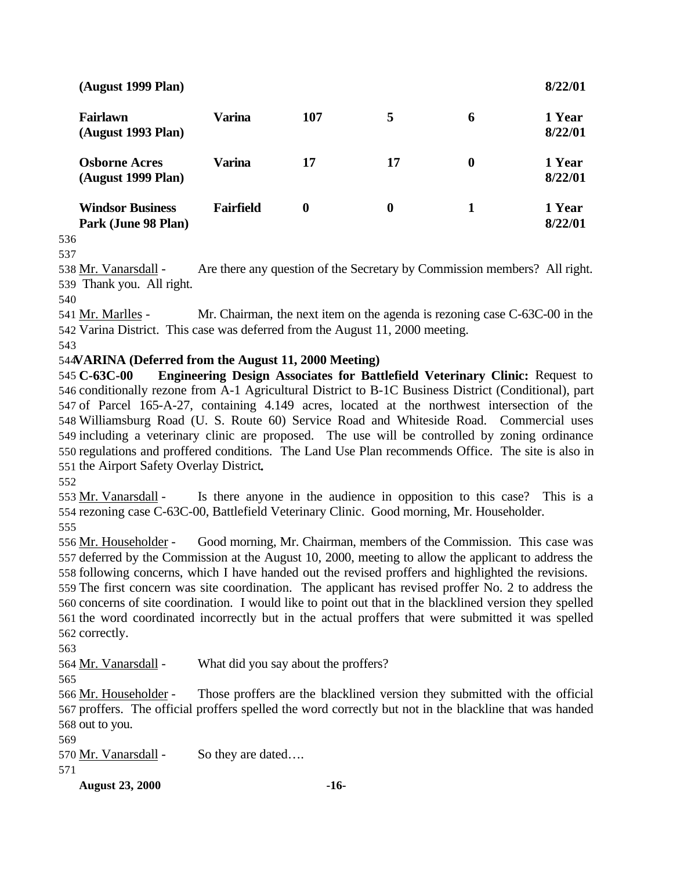| (August 1999 Plan)                             |                  |     |    |          | 8/22/01           |
|------------------------------------------------|------------------|-----|----|----------|-------------------|
| <b>Fairlawn</b><br>(August 1993 Plan)          | Varina           | 107 | 5  | 6        | 1 Year<br>8/22/01 |
| <b>Osborne Acres</b><br>(August 1999 Plan)     | Varina           | 17  | 17 | $\bf{0}$ | 1 Year<br>8/22/01 |
| <b>Windsor Business</b><br>Park (June 98 Plan) | <b>Fairfield</b> | 0   | 0  |          | 1 Year<br>8/22/01 |

 Mr. Vanarsdall - Are there any question of the Secretary by Commission members? All right. Thank you. All right.

 Mr. Marlles - Mr. Chairman, the next item on the agenda is rezoning case C-63C-00 in the Varina District. This case was deferred from the August 11, 2000 meeting.

#### **VARINA (Deferred from the August 11, 2000 Meeting)**

 **C-63C-00 Engineering Design Associates for Battlefield Veterinary Clinic:** Request to conditionally rezone from A-1 Agricultural District to B-1C Business District (Conditional), part of Parcel 165-A-27, containing 4.149 acres, located at the northwest intersection of the Williamsburg Road (U. S. Route 60) Service Road and Whiteside Road. Commercial uses including a veterinary clinic are proposed. The use will be controlled by zoning ordinance regulations and proffered conditions. The Land Use Plan recommends Office. The site is also in the Airport Safety Overlay District**.**

 Mr. Vanarsdall - Is there anyone in the audience in opposition to this case? This is a rezoning case C-63C-00, Battlefield Veterinary Clinic. Good morning, Mr. Householder. 

 Mr. Householder - Good morning, Mr. Chairman, members of the Commission. This case was deferred by the Commission at the August 10, 2000, meeting to allow the applicant to address the following concerns, which I have handed out the revised proffers and highlighted the revisions.

 The first concern was site coordination. The applicant has revised proffer No. 2 to address the concerns of site coordination. I would like to point out that in the blacklined version they spelled the word coordinated incorrectly but in the actual proffers that were submitted it was spelled correctly.

564 <u>Mr. Vanarsdall</u> - What did you say about the proffers?

 Mr. Householder - Those proffers are the blacklined version they submitted with the official proffers. The official proffers spelled the word correctly but not in the blackline that was handed out to you.

570 Mr. Vanarsdall - So they are dated....

**August 23, 2000 -16-**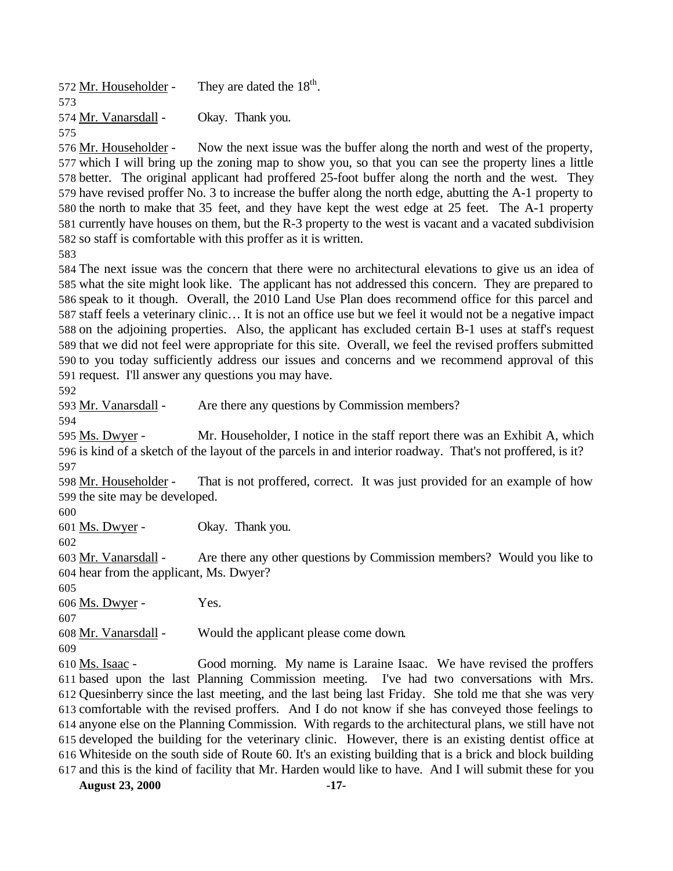572 Mr. Householder - They are dated the  $18<sup>th</sup>$ . Mr. Vanarsdall - Okay. Thank you. 

 Mr. Householder - Now the next issue was the buffer along the north and west of the property, which I will bring up the zoning map to show you, so that you can see the property lines a little better. The original applicant had proffered 25-foot buffer along the north and the west. They have revised proffer No. 3 to increase the buffer along the north edge, abutting the A-1 property to the north to make that 35 feet, and they have kept the west edge at 25 feet. The A-1 property currently have houses on them, but the R-3 property to the west is vacant and a vacated subdivision so staff is comfortable with this proffer as it is written.

 The next issue was the concern that there were no architectural elevations to give us an idea of what the site might look like. The applicant has not addressed this concern. They are prepared to speak to it though. Overall, the 2010 Land Use Plan does recommend office for this parcel and staff feels a veterinary clinic… It is not an office use but we feel it would not be a negative impact on the adjoining properties. Also, the applicant has excluded certain B-1 uses at staff's request that we did not feel were appropriate for this site. Overall, we feel the revised proffers submitted to you today sufficiently address our issues and concerns and we recommend approval of this request. I'll answer any questions you may have.

Mr. Vanarsdall - Are there any questions by Commission members?

 Ms. Dwyer - Mr. Householder, I notice in the staff report there was an Exhibit A, which is kind of a sketch of the layout of the parcels in and interior roadway. That's not proffered, is it? 

598 Mr. Householder - That is not proffered, correct. It was just provided for an example of how the site may be developed.

Ms. Dwyer - Okay. Thank you.

 Mr. Vanarsdall - Are there any other questions by Commission members? Would you like to hear from the applicant, Ms. Dwyer?

Ms. Dwyer - Yes.

Mr. Vanarsdall - Would the applicant please come down.

 Ms. Isaac - Good morning. My name is Laraine Isaac. We have revised the proffers based upon the last Planning Commission meeting. I've had two conversations with Mrs. Quesinberry since the last meeting, and the last being last Friday. She told me that she was very comfortable with the revised proffers. And I do not know if she has conveyed those feelings to anyone else on the Planning Commission. With regards to the architectural plans, we still have not developed the building for the veterinary clinic. However, there is an existing dentist office at Whiteside on the south side of Route 60. It's an existing building that is a brick and block building and this is the kind of facility that Mr. Harden would like to have. And I will submit these for you

**August 23, 2000 -17-**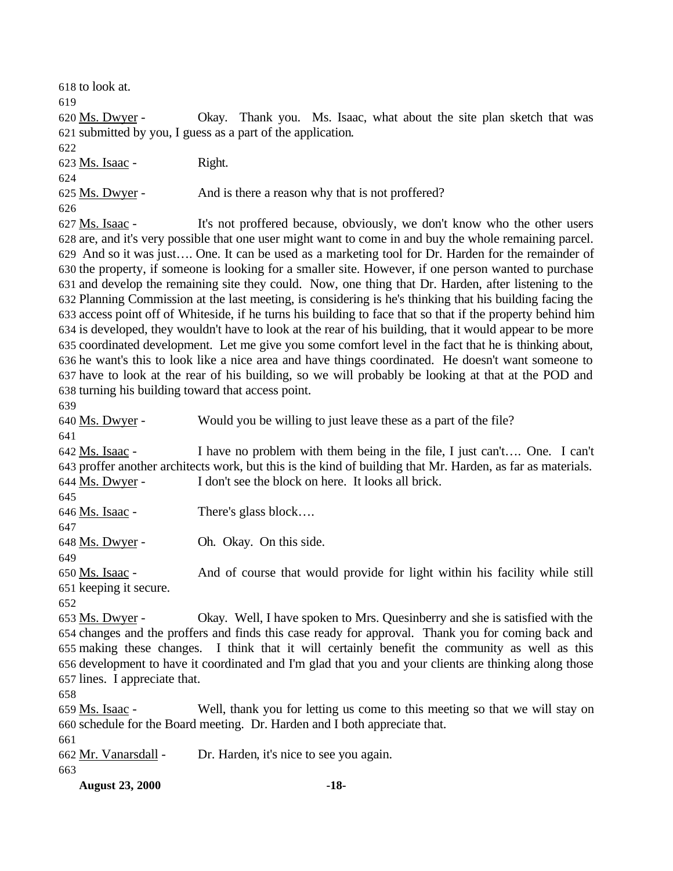**August 23, 2000 -18-** to look at. Ms. Dwyer - Okay. Thank you. Ms. Isaac, what about the site plan sketch that was submitted by you, I guess as a part of the application. Ms. Isaac - Right. 625 Ms. Dwyer - And is there a reason why that is not proffered? Ms. Isaac - It's not proffered because, obviously, we don't know who the other users are, and it's very possible that one user might want to come in and buy the whole remaining parcel. And so it was just…. One. It can be used as a marketing tool for Dr. Harden for the remainder of the property, if someone is looking for a smaller site. However, if one person wanted to purchase and develop the remaining site they could. Now, one thing that Dr. Harden, after listening to the Planning Commission at the last meeting, is considering is he's thinking that his building facing the access point off of Whiteside, if he turns his building to face that so that if the property behind him is developed, they wouldn't have to look at the rear of his building, that it would appear to be more coordinated development. Let me give you some comfort level in the fact that he is thinking about, he want's this to look like a nice area and have things coordinated. He doesn't want someone to have to look at the rear of his building, so we will probably be looking at that at the POD and turning his building toward that access point. Ms. Dwyer - Would you be willing to just leave these as a part of the file? Ms. Isaac - I have no problem with them being in the file, I just can't…. One. I can't proffer another architects work, but this is the kind of building that Mr. Harden, as far as materials. Ms. Dwyer - I don't see the block on here. It looks all brick. 646 Ms. Isaac - There's glass block.... Ms. Dwyer - Oh. Okay. On this side. Ms. Isaac - And of course that would provide for light within his facility while still keeping it secure. Ms. Dwyer - Okay. Well, I have spoken to Mrs. Quesinberry and she is satisfied with the changes and the proffers and finds this case ready for approval. Thank you for coming back and making these changes. I think that it will certainly benefit the community as well as this development to have it coordinated and I'm glad that you and your clients are thinking along those lines. I appreciate that. Ms. Isaac - Well, thank you for letting us come to this meeting so that we will stay on schedule for the Board meeting. Dr. Harden and I both appreciate that. Mr. Vanarsdall - Dr. Harden, it's nice to see you again.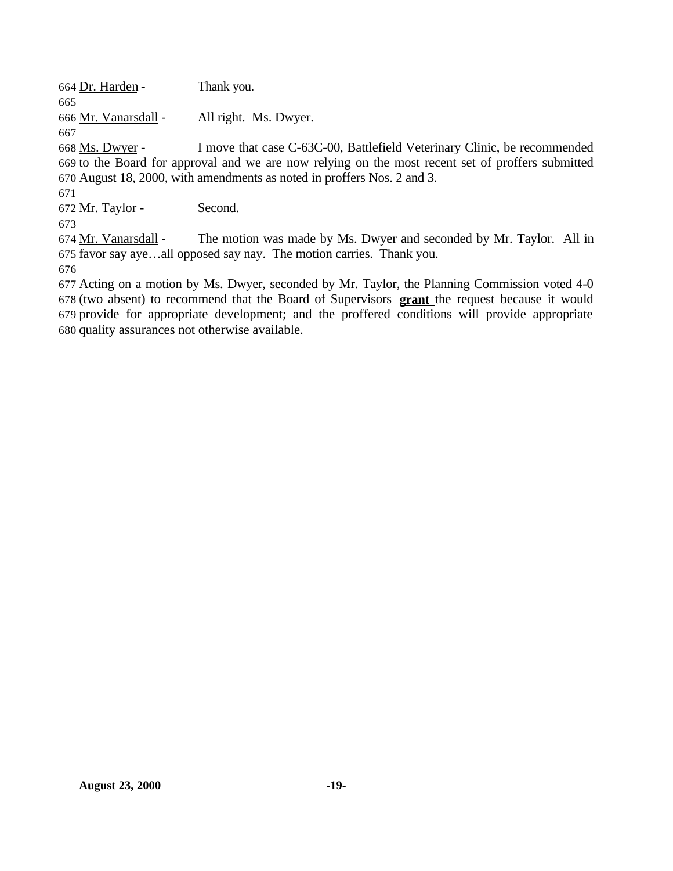Dr. Harden - Thank you.

Mr. Vanarsdall - All right. Ms. Dwyer.

 Ms. Dwyer - I move that case C-63C-00, Battlefield Veterinary Clinic, be recommended to the Board for approval and we are now relying on the most recent set of proffers submitted August 18, 2000, with amendments as noted in proffers Nos. 2 and 3.

672 Mr. Taylor - Second.

 Mr. Vanarsdall - The motion was made by Ms. Dwyer and seconded by Mr. Taylor. All in favor say aye…all opposed say nay. The motion carries. Thank you.

 Acting on a motion by Ms. Dwyer, seconded by Mr. Taylor, the Planning Commission voted 4-0 (two absent) to recommend that the Board of Supervisors **grant** the request because it would provide for appropriate development; and the proffered conditions will provide appropriate quality assurances not otherwise available.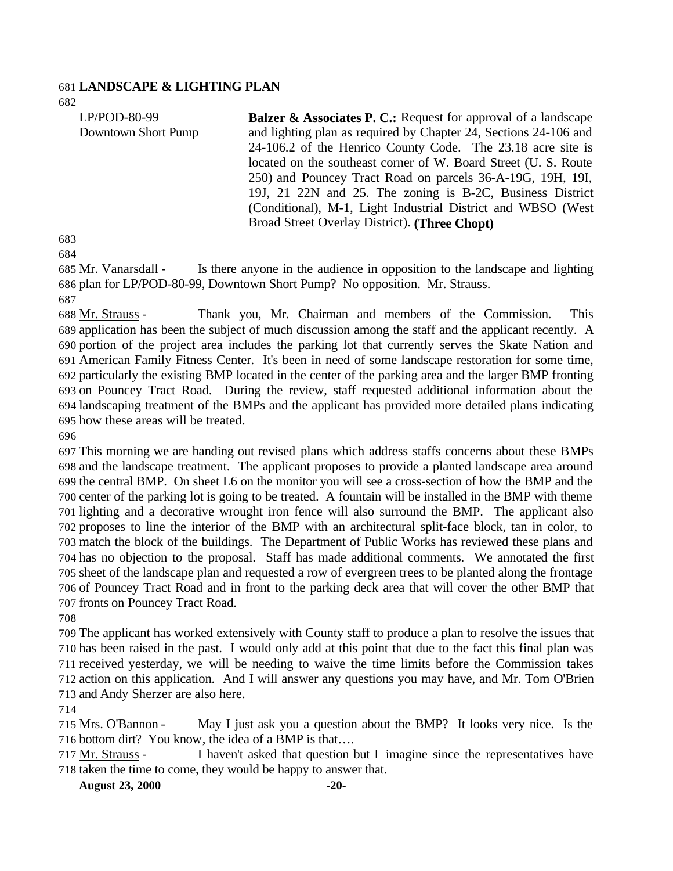#### **LANDSCAPE & LIGHTING PLAN**

| LP/POD-80-99        | <b>Balzer &amp; Associates P. C.:</b> Request for approval of a landscape |
|---------------------|---------------------------------------------------------------------------|
| Downtown Short Pump | and lighting plan as required by Chapter 24, Sections 24-106 and          |
|                     | 24-106.2 of the Henrico County Code. The 23.18 acre site is               |
|                     | located on the southeast corner of W. Board Street (U. S. Route           |
|                     | 250) and Pouncey Tract Road on parcels 36-A-19G, 19H, 19I,                |
|                     | 19J, 21 22N and 25. The zoning is B-2C, Business District                 |
|                     | (Conditional), M-1, Light Industrial District and WBSO (West)             |
|                     | Broad Street Overlay District). (Three Chopt)                             |
| $\sim$              |                                                                           |

 Mr. Vanarsdall - Is there anyone in the audience in opposition to the landscape and lighting plan for LP/POD-80-99, Downtown Short Pump? No opposition. Mr. Strauss.

 Mr. Strauss - Thank you, Mr. Chairman and members of the Commission. This application has been the subject of much discussion among the staff and the applicant recently. A portion of the project area includes the parking lot that currently serves the Skate Nation and American Family Fitness Center. It's been in need of some landscape restoration for some time, particularly the existing BMP located in the center of the parking area and the larger BMP fronting on Pouncey Tract Road. During the review, staff requested additional information about the landscaping treatment of the BMPs and the applicant has provided more detailed plans indicating how these areas will be treated.

 This morning we are handing out revised plans which address staffs concerns about these BMPs and the landscape treatment. The applicant proposes to provide a planted landscape area around the central BMP. On sheet L6 on the monitor you will see a cross-section of how the BMP and the center of the parking lot is going to be treated. A fountain will be installed in the BMP with theme lighting and a decorative wrought iron fence will also surround the BMP. The applicant also proposes to line the interior of the BMP with an architectural split-face block, tan in color, to match the block of the buildings. The Department of Public Works has reviewed these plans and has no objection to the proposal. Staff has made additional comments. We annotated the first sheet of the landscape plan and requested a row of evergreen trees to be planted along the frontage of Pouncey Tract Road and in front to the parking deck area that will cover the other BMP that fronts on Pouncey Tract Road.

 The applicant has worked extensively with County staff to produce a plan to resolve the issues that has been raised in the past. I would only add at this point that due to the fact this final plan was received yesterday, we will be needing to waive the time limits before the Commission takes action on this application. And I will answer any questions you may have, and Mr. Tom O'Brien and Andy Sherzer are also here.

 Mrs. O'Bannon - May I just ask you a question about the BMP? It looks very nice. Is the bottom dirt? You know, the idea of a BMP is that….

 Mr. Strauss - I haven't asked that question but I imagine since the representatives have taken the time to come, they would be happy to answer that.

**August 23, 2000 -20-**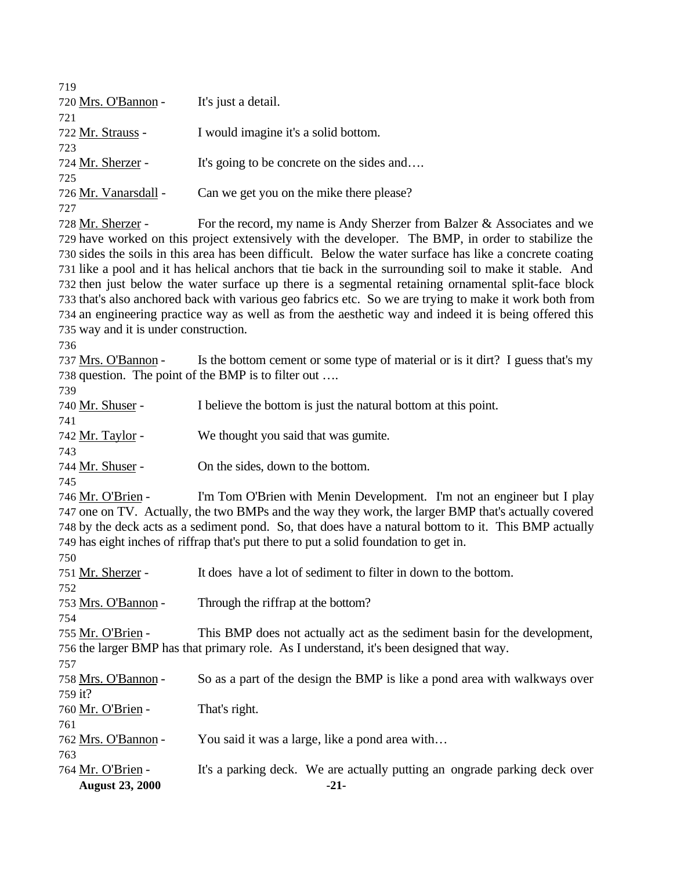| 719                                   |                                                                                                          |
|---------------------------------------|----------------------------------------------------------------------------------------------------------|
| 720 Mrs. O'Bannon -                   | It's just a detail.                                                                                      |
| 721                                   |                                                                                                          |
| 722 <u>Mr. Strauss</u> -              | I would imagine it's a solid bottom.                                                                     |
| 723                                   |                                                                                                          |
| 724 <u>Mr. Sherzer</u> -              | It's going to be concrete on the sides and                                                               |
| 725                                   |                                                                                                          |
| 726 <u>Mr. Vanarsdall</u> -           | Can we get you on the mike there please?                                                                 |
| 727                                   |                                                                                                          |
| 728 <u>Mr. Sherzer</u> -              | For the record, my name is Andy Sherzer from Balzer & Associates and we                                  |
|                                       | 729 have worked on this project extensively with the developer. The BMP, in order to stabilize the       |
|                                       | 730 sides the soils in this area has been difficult. Below the water surface has like a concrete coating |
|                                       | 731 like a pool and it has helical anchors that tie back in the surrounding soil to make it stable. And  |
|                                       | 732 then just below the water surface up there is a segmental retaining ornamental split-face block      |
|                                       | 733 that's also anchored back with various geo fabrics etc. So we are trying to make it work both from   |
|                                       | 734 an engineering practice way as well as from the aesthetic way and indeed it is being offered this    |
| 735 way and it is under construction. |                                                                                                          |
| 736                                   |                                                                                                          |
| 737 Mrs. O'Bannon -                   | Is the bottom cement or some type of material or is it dirt? I guess that's my                           |
|                                       | 738 question. The point of the BMP is to filter out                                                      |
| 739                                   |                                                                                                          |
| 740 <u>Mr. Shuser</u> -               | I believe the bottom is just the natural bottom at this point.                                           |
| 741                                   |                                                                                                          |
| 742 <u>Mr. Taylor</u> -               | We thought you said that was gumite.                                                                     |
| 743                                   |                                                                                                          |
| 744 <u>Mr. Shuser</u> -               | On the sides, down to the bottom.                                                                        |
| 745                                   |                                                                                                          |
| 746 <u>Mr. O'Brien</u> -              | I'm Tom O'Brien with Menin Development. I'm not an engineer but I play                                   |
|                                       | 747 one on TV. Actually, the two BMPs and the way they work, the larger BMP that's actually covered      |
|                                       | 748 by the deck acts as a sediment pond. So, that does have a natural bottom to it. This BMP actually    |
|                                       | 749 has eight inches of riffrap that's put there to put a solid foundation to get in.                    |
| 750                                   |                                                                                                          |
| 751 Mr. Sherzer -                     | It does have a lot of sediment to filter in down to the bottom.                                          |
| 752                                   |                                                                                                          |
| 753 Mrs. O'Bannon -                   | Through the riffrap at the bottom?                                                                       |
| 754                                   |                                                                                                          |
| 755 Mr. O'Brien -                     | This BMP does not actually act as the sediment basin for the development,                                |
|                                       | 756 the larger BMP has that primary role. As I understand, it's been designed that way.                  |
| 757                                   |                                                                                                          |
| 758 Mrs. O'Bannon -                   | So as a part of the design the BMP is like a pond area with walkways over                                |
| 759 it?                               |                                                                                                          |
| 760 Mr. O'Brien -                     | That's right.                                                                                            |
| 761                                   |                                                                                                          |
| 762 <u>Mrs. O'Bannon</u> -            | You said it was a large, like a pond area with                                                           |
| 763                                   |                                                                                                          |
| 764 <u>Mr. O'Brien</u> -              | It's a parking deck. We are actually putting an ongrade parking deck over                                |
| <b>August 23, 2000</b>                | $-21-$                                                                                                   |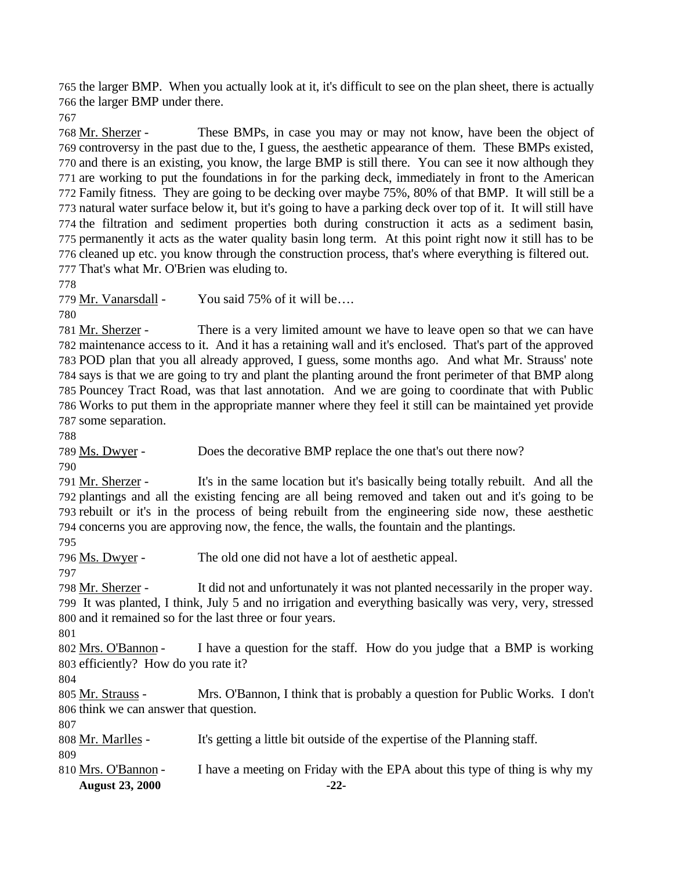the larger BMP. When you actually look at it, it's difficult to see on the plan sheet, there is actually the larger BMP under there.

 Mr. Sherzer - These BMPs, in case you may or may not know, have been the object of controversy in the past due to the, I guess, the aesthetic appearance of them. These BMPs existed, and there is an existing, you know, the large BMP is still there. You can see it now although they are working to put the foundations in for the parking deck, immediately in front to the American Family fitness. They are going to be decking over maybe 75%, 80% of that BMP. It will still be a natural water surface below it, but it's going to have a parking deck over top of it. It will still have the filtration and sediment properties both during construction it acts as a sediment basin, permanently it acts as the water quality basin long term. At this point right now it still has to be cleaned up etc. you know through the construction process, that's where everything is filtered out. That's what Mr. O'Brien was eluding to.

779 Mr. Vanarsdall - You said 75% of it will be....

 Mr. Sherzer - There is a very limited amount we have to leave open so that we can have maintenance access to it. And it has a retaining wall and it's enclosed. That's part of the approved POD plan that you all already approved, I guess, some months ago. And what Mr. Strauss' note says is that we are going to try and plant the planting around the front perimeter of that BMP along Pouncey Tract Road, was that last annotation. And we are going to coordinate that with Public Works to put them in the appropriate manner where they feel it still can be maintained yet provide some separation.

789 Ms. Dwyer - Does the decorative BMP replace the one that's out there now?

 Mr. Sherzer - It's in the same location but it's basically being totally rebuilt. And all the plantings and all the existing fencing are all being removed and taken out and it's going to be rebuilt or it's in the process of being rebuilt from the engineering side now, these aesthetic concerns you are approving now, the fence, the walls, the fountain and the plantings.

Ms. Dwyer - The old one did not have a lot of aesthetic appeal.

798 Mr. Sherzer - It did not and unfortunately it was not planted necessarily in the proper way. It was planted, I think, July 5 and no irrigation and everything basically was very, very, stressed and it remained so for the last three or four years.

 Mrs. O'Bannon - I have a question for the staff. How do you judge that a BMP is working efficiently? How do you rate it?

 Mr. Strauss - Mrs. O'Bannon, I think that is probably a question for Public Works. I don't think we can answer that question.

Mr. Marlles - It's getting a little bit outside of the expertise of the Planning staff.

**August 23, 2000 -22-** Mrs. O'Bannon - I have a meeting on Friday with the EPA about this type of thing is why my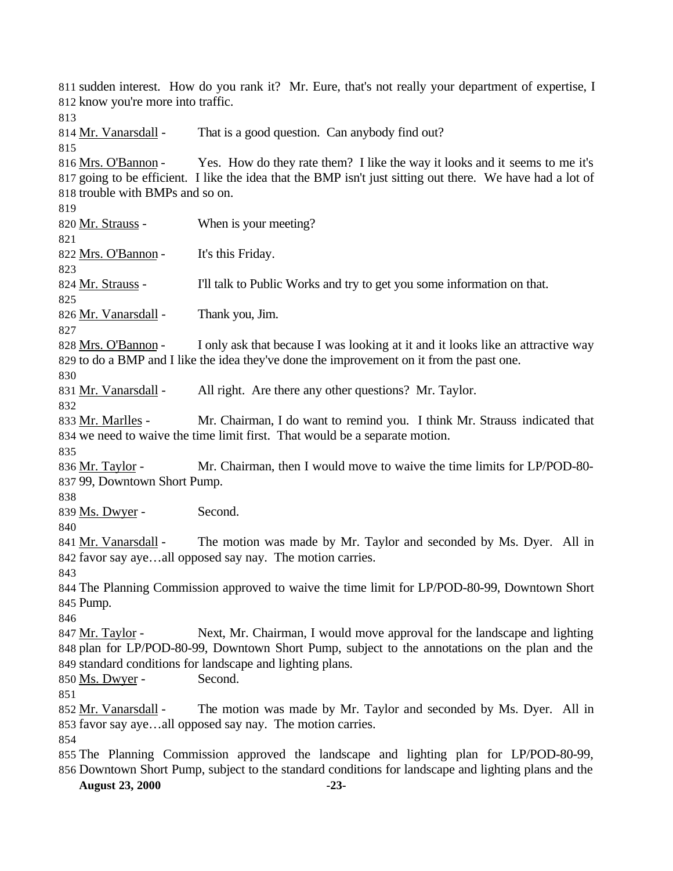**August 23, 2000 -23-** sudden interest. How do you rank it? Mr. Eure, that's not really your department of expertise, I know you're more into traffic. 814 Mr. Vanarsdall - That is a good question. Can anybody find out? Mrs. O'Bannon - Yes. How do they rate them? I like the way it looks and it seems to me it's going to be efficient. I like the idea that the BMP isn't just sitting out there. We have had a lot of trouble with BMPs and so on. 820 Mr. Strauss - When is your meeting? 822 Mrs. O'Bannon - It's this Friday. 824 Mr. Strauss - I'll talk to Public Works and try to get you some information on that. Mr. Vanarsdall - Thank you, Jim. 828 Mrs. O'Bannon - I only ask that because I was looking at it and it looks like an attractive way to do a BMP and I like the idea they've done the improvement on it from the past one. Mr. Vanarsdall - All right. Are there any other questions? Mr. Taylor. 833 Mr. Marlles - Mr. Chairman, I do want to remind you. I think Mr. Strauss indicated that we need to waive the time limit first. That would be a separate motion. Mr. Taylor - Mr. Chairman, then I would move to waive the time limits for LP/POD-80- 99, Downtown Short Pump. 839 Ms. Dwyer - Second. 841 Mr. Vanarsdall - The motion was made by Mr. Taylor and seconded by Ms. Dyer. All in favor say aye…all opposed say nay. The motion carries. The Planning Commission approved to waive the time limit for LP/POD-80-99, Downtown Short Pump. 847 Mr. Taylor - Next, Mr. Chairman, I would move approval for the landscape and lighting plan for LP/POD-80-99, Downtown Short Pump, subject to the annotations on the plan and the standard conditions for landscape and lighting plans. Ms. Dwyer - Second. Mr. Vanarsdall - The motion was made by Mr. Taylor and seconded by Ms. Dyer. All in favor say aye…all opposed say nay. The motion carries. The Planning Commission approved the landscape and lighting plan for LP/POD-80-99, Downtown Short Pump, subject to the standard conditions for landscape and lighting plans and the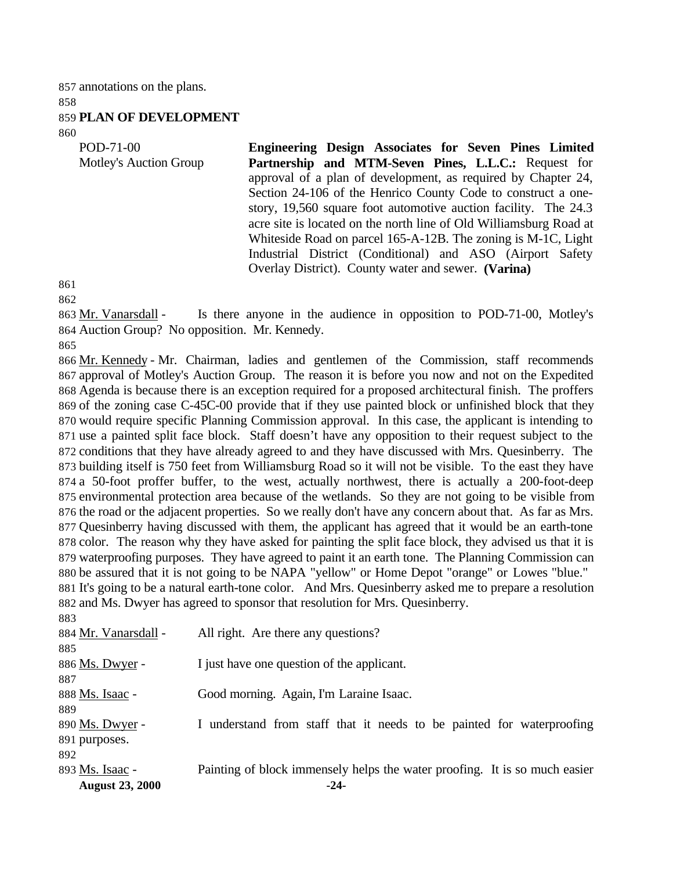annotations on the plans. 

#### **PLAN OF DEVELOPMENT**

POD-71-00 Motley's Auction Group **Engineering Design Associates for Seven Pines Limited Partnership and MTM-Seven Pines, L.L.C.:** Request for approval of a plan of development, as required by Chapter 24, Section 24-106 of the Henrico County Code to construct a onestory, 19,560 square foot automotive auction facility. The 24.3 acre site is located on the north line of Old Williamsburg Road at Whiteside Road on parcel 165-A-12B. The zoning is M-1C, Light Industrial District (Conditional) and ASO (Airport Safety Overlay District). County water and sewer. **(Varina)**

 Mr. Vanarsdall - Is there anyone in the audience in opposition to POD-71-00, Motley's Auction Group? No opposition. Mr. Kennedy.

 Mr. Kennedy - Mr. Chairman, ladies and gentlemen of the Commission, staff recommends approval of Motley's Auction Group. The reason it is before you now and not on the Expedited Agenda is because there is an exception required for a proposed architectural finish. The proffers of the zoning case C-45C-00 provide that if they use painted block or unfinished block that they would require specific Planning Commission approval. In this case, the applicant is intending to use a painted split face block. Staff doesn't have any opposition to their request subject to the conditions that they have already agreed to and they have discussed with Mrs. Quesinberry. The building itself is 750 feet from Williamsburg Road so it will not be visible. To the east they have a 50-foot proffer buffer, to the west, actually northwest, there is actually a 200-foot-deep environmental protection area because of the wetlands. So they are not going to be visible from the road or the adjacent properties. So we really don't have any concern about that. As far as Mrs. Quesinberry having discussed with them, the applicant has agreed that it would be an earth-tone color. The reason why they have asked for painting the split face block, they advised us that it is waterproofing purposes. They have agreed to paint it an earth tone. The Planning Commission can be assured that it is not going to be NAPA "yellow" or Home Depot "orange" or Lowes "blue." It's going to be a natural earth-tone color. And Mrs. Quesinberry asked me to prepare a resolution and Ms. Dwyer has agreed to sponsor that resolution for Mrs. Quesinberry. 

| 893 Ms. Isaac -<br><b>August 23, 2000</b> | Painting of block immensely helps the water proofing. It is so much easier<br>$-24-$ |
|-------------------------------------------|--------------------------------------------------------------------------------------|
| 892                                       |                                                                                      |
| 891 purposes.                             |                                                                                      |
| 890 Ms. Dwyer -                           | I understand from staff that it needs to be painted for waterproofing                |
| 889                                       |                                                                                      |
| 888 Ms. Isaac -                           | Good morning. Again, I'm Laraine Isaac.                                              |
| 887                                       |                                                                                      |
| 886 Ms. Dwyer -                           | I just have one question of the applicant.                                           |
| 885                                       |                                                                                      |
| 884 Mr. Vanarsdall -                      | All right. Are there any questions?                                                  |
|                                           |                                                                                      |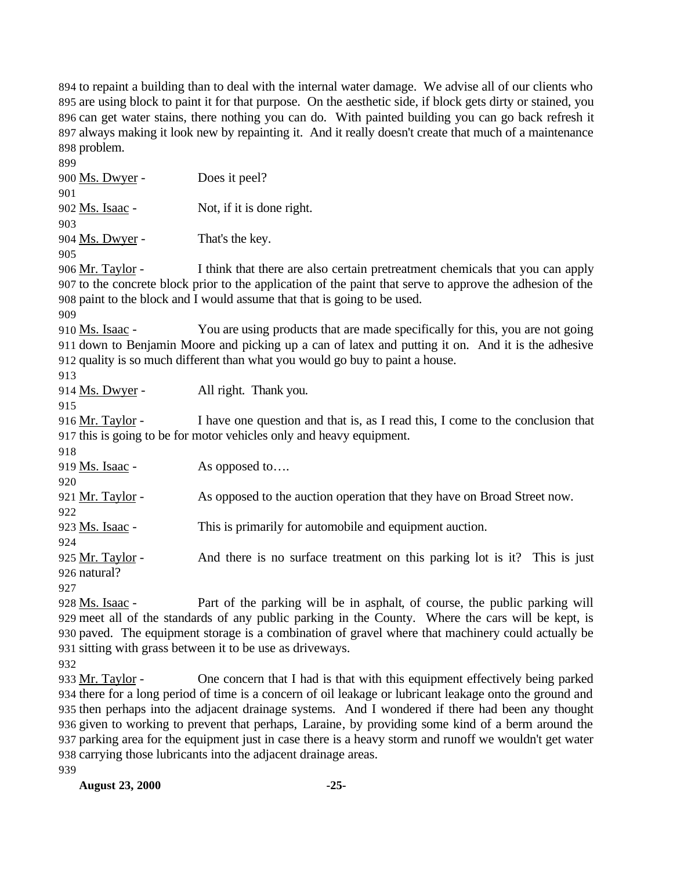to repaint a building than to deal with the internal water damage. We advise all of our clients who are using block to paint it for that purpose. On the aesthetic side, if block gets dirty or stained, you can get water stains, there nothing you can do. With painted building you can go back refresh it always making it look new by repainting it. And it really doesn't create that much of a maintenance problem.

 Ms. Dwyer - Does it peel? Ms. Isaac - Not, if it is done right. Ms. Dwyer - That's the key. 906 Mr. Taylor - I think that there are also certain pretreatment chemicals that you can apply to the concrete block prior to the application of the paint that serve to approve the adhesion of the paint to the block and I would assume that that is going to be used. 910 Ms. Isaac - You are using products that are made specifically for this, you are not going down to Benjamin Moore and picking up a can of latex and putting it on. And it is the adhesive quality is so much different than what you would go buy to paint a house. Ms. Dwyer - All right. Thank you. 916 Mr. Taylor - I have one question and that is, as I read this, I come to the conclusion that this is going to be for motor vehicles only and heavy equipment. 919 Ms. Isaac - As opposed to.... Mr. Taylor - As opposed to the auction operation that they have on Broad Street now. Ms. Isaac - This is primarily for automobile and equipment auction. Mr. Taylor - And there is no surface treatment on this parking lot is it? This is just natural? Ms. Isaac - Part of the parking will be in asphalt, of course, the public parking will meet all of the standards of any public parking in the County. Where the cars will be kept, is paved. The equipment storage is a combination of gravel where that machinery could actually be sitting with grass between it to be use as driveways. 

 Mr. Taylor - One concern that I had is that with this equipment effectively being parked there for a long period of time is a concern of oil leakage or lubricant leakage onto the ground and then perhaps into the adjacent drainage systems. And I wondered if there had been any thought given to working to prevent that perhaps, Laraine, by providing some kind of a berm around the parking area for the equipment just in case there is a heavy storm and runoff we wouldn't get water carrying those lubricants into the adjacent drainage areas.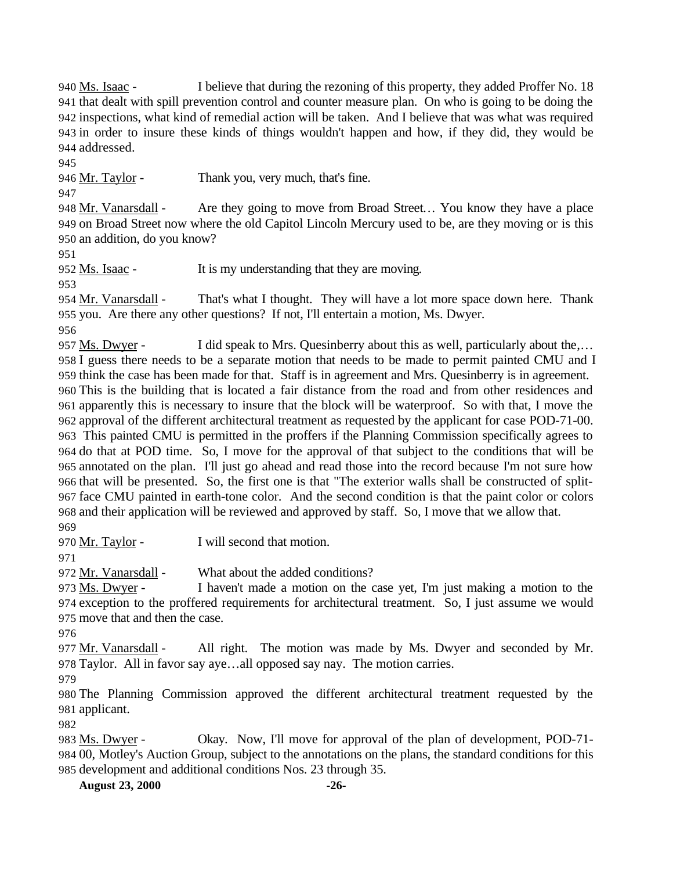Ms. Isaac - I believe that during the rezoning of this property, they added Proffer No. 18 that dealt with spill prevention control and counter measure plan. On who is going to be doing the inspections, what kind of remedial action will be taken. And I believe that was what was required in order to insure these kinds of things wouldn't happen and how, if they did, they would be addressed.

946 Mr. Taylor - Thank you, very much, that's fine.

948 Mr. Vanarsdall - Are they going to move from Broad Street... You know they have a place on Broad Street now where the old Capitol Lincoln Mercury used to be, are they moving or is this an addition, do you know?

Ms. Isaac - It is my understanding that they are moving.

 Mr. Vanarsdall - That's what I thought. They will have a lot more space down here. Thank you. Are there any other questions? If not, I'll entertain a motion, Ms. Dwyer.

957 Ms. Dwyer - I did speak to Mrs. Quesinberry about this as well, particularly about the,... I guess there needs to be a separate motion that needs to be made to permit painted CMU and I think the case has been made for that. Staff is in agreement and Mrs. Quesinberry is in agreement. This is the building that is located a fair distance from the road and from other residences and apparently this is necessary to insure that the block will be waterproof. So with that, I move the approval of the different architectural treatment as requested by the applicant for case POD-71-00. This painted CMU is permitted in the proffers if the Planning Commission specifically agrees to do that at POD time. So, I move for the approval of that subject to the conditions that will be annotated on the plan. I'll just go ahead and read those into the record because I'm not sure how that will be presented. So, the first one is that "The exterior walls shall be constructed of split- face CMU painted in earth-tone color. And the second condition is that the paint color or colors and their application will be reviewed and approved by staff. So, I move that we allow that.

Mr. Taylor - I will second that motion.

972 <u>Mr. Vanarsdall</u> - What about the added conditions?

 Ms. Dwyer - I haven't made a motion on the case yet, I'm just making a motion to the exception to the proffered requirements for architectural treatment. So, I just assume we would move that and then the case.

977 Mr. Vanarsdall - All right. The motion was made by Ms. Dwyer and seconded by Mr. Taylor. All in favor say aye…all opposed say nay. The motion carries.

 The Planning Commission approved the different architectural treatment requested by the applicant.

 Ms. Dwyer - Okay. Now, I'll move for approval of the plan of development, POD-71- 00, Motley's Auction Group, subject to the annotations on the plans, the standard conditions for this development and additional conditions Nos. 23 through 35.

**August 23, 2000 -26-**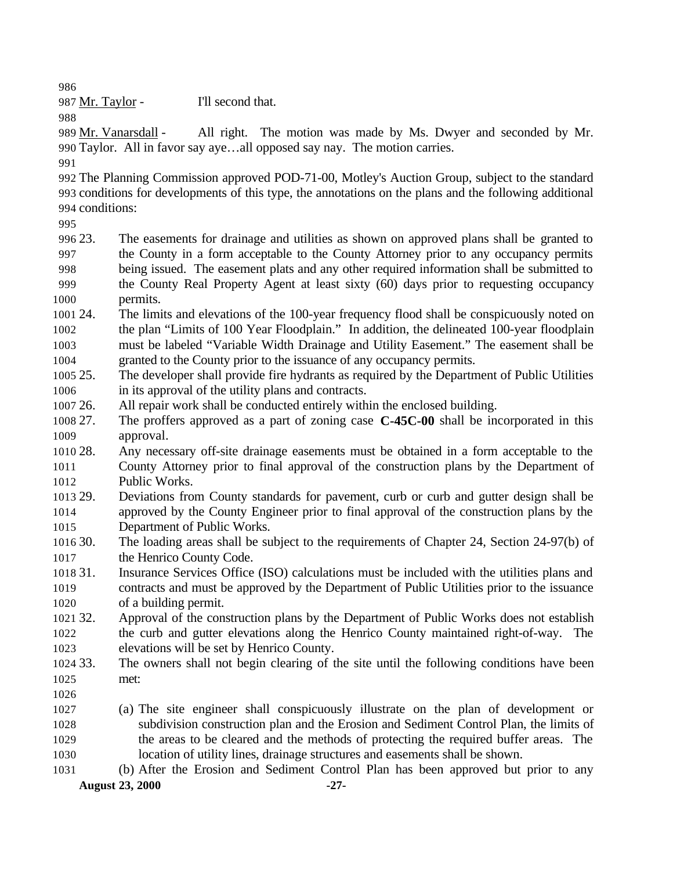987 Mr. Taylor - I'll second that.

 Mr. Vanarsdall - All right. The motion was made by Ms. Dwyer and seconded by Mr. Taylor. All in favor say aye…all opposed say nay. The motion carries.

 The Planning Commission approved POD-71-00, Motley's Auction Group, subject to the standard conditions for developments of this type, the annotations on the plans and the following additional conditions:

 23. The easements for drainage and utilities as shown on approved plans shall be granted to the County in a form acceptable to the County Attorney prior to any occupancy permits being issued. The easement plats and any other required information shall be submitted to the County Real Property Agent at least sixty (60) days prior to requesting occupancy permits.

 24. The limits and elevations of the 100-year frequency flood shall be conspicuously noted on the plan "Limits of 100 Year Floodplain." In addition, the delineated 100-year floodplain must be labeled "Variable Width Drainage and Utility Easement." The easement shall be granted to the County prior to the issuance of any occupancy permits.

 25. The developer shall provide fire hydrants as required by the Department of Public Utilities in its approval of the utility plans and contracts.

26. All repair work shall be conducted entirely within the enclosed building.

 27. The proffers approved as a part of zoning case **C-45C-00** shall be incorporated in this approval.

 28. Any necessary off-site drainage easements must be obtained in a form acceptable to the County Attorney prior to final approval of the construction plans by the Department of Public Works.

 29. Deviations from County standards for pavement, curb or curb and gutter design shall be approved by the County Engineer prior to final approval of the construction plans by the Department of Public Works.

 30. The loading areas shall be subject to the requirements of Chapter 24, Section 24-97(b) of 1017 the Henrico County Code.

 31. Insurance Services Office (ISO) calculations must be included with the utilities plans and contracts and must be approved by the Department of Public Utilities prior to the issuance of a building permit.

 32. Approval of the construction plans by the Department of Public Works does not establish the curb and gutter elevations along the Henrico County maintained right-of-way. The elevations will be set by Henrico County.

 33. The owners shall not begin clearing of the site until the following conditions have been met:

 (a) The site engineer shall conspicuously illustrate on the plan of development or subdivision construction plan and the Erosion and Sediment Control Plan, the limits of the areas to be cleared and the methods of protecting the required buffer areas. The location of utility lines, drainage structures and easements shall be shown.

**August 23, 2000 -27-** (b) After the Erosion and Sediment Control Plan has been approved but prior to any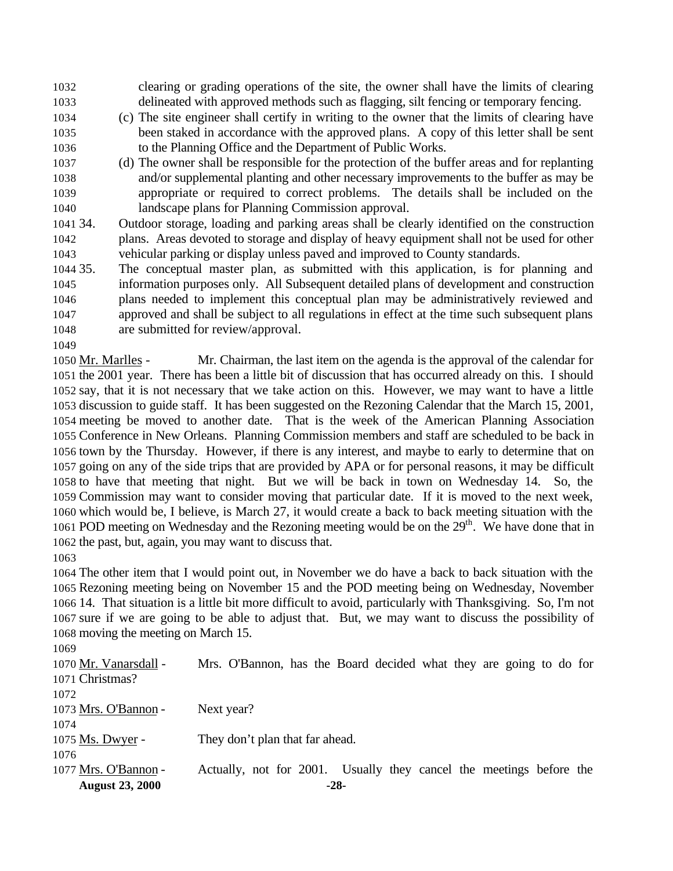clearing or grading operations of the site, the owner shall have the limits of clearing delineated with approved methods such as flagging, silt fencing or temporary fencing.

- (c) The site engineer shall certify in writing to the owner that the limits of clearing have been staked in accordance with the approved plans. A copy of this letter shall be sent to the Planning Office and the Department of Public Works.
- (d) The owner shall be responsible for the protection of the buffer areas and for replanting and/or supplemental planting and other necessary improvements to the buffer as may be appropriate or required to correct problems. The details shall be included on the landscape plans for Planning Commission approval.
- 34. Outdoor storage, loading and parking areas shall be clearly identified on the construction plans. Areas devoted to storage and display of heavy equipment shall not be used for other vehicular parking or display unless paved and improved to County standards.
- 35. The conceptual master plan, as submitted with this application, is for planning and information purposes only. All Subsequent detailed plans of development and construction plans needed to implement this conceptual plan may be administratively reviewed and approved and shall be subject to all regulations in effect at the time such subsequent plans are submitted for review/approval.
- 

 Mr. Marlles - Mr. Chairman, the last item on the agenda is the approval of the calendar for the 2001 year. There has been a little bit of discussion that has occurred already on this. I should say, that it is not necessary that we take action on this. However, we may want to have a little discussion to guide staff. It has been suggested on the Rezoning Calendar that the March 15, 2001, meeting be moved to another date. That is the week of the American Planning Association Conference in New Orleans. Planning Commission members and staff are scheduled to be back in town by the Thursday. However, if there is any interest, and maybe to early to determine that on going on any of the side trips that are provided by APA or for personal reasons, it may be difficult to have that meeting that night. But we will be back in town on Wednesday 14. So, the Commission may want to consider moving that particular date. If it is moved to the next week, which would be, I believe, is March 27, it would create a back to back meeting situation with the 1061 POD meeting on Wednesday and the Rezoning meeting would be on the  $29<sup>th</sup>$ . We have done that in the past, but, again, you may want to discuss that.

 The other item that I would point out, in November we do have a back to back situation with the Rezoning meeting being on November 15 and the POD meeting being on Wednesday, November 14. That situation is a little bit more difficult to avoid, particularly with Thanksgiving. So, I'm not sure if we are going to be able to adjust that. But, we may want to discuss the possibility of moving the meeting on March 15.

| 1069                   |                                                                     |
|------------------------|---------------------------------------------------------------------|
| 1070 Mr. Vanarsdall -  | Mrs. O'Bannon, has the Board decided what they are going to do for  |
| 1071 Christmas?        |                                                                     |
| 1072                   |                                                                     |
| 1073 Mrs. O'Bannon -   | Next year?                                                          |
| 1074                   |                                                                     |
| 1075 Ms. Dwyer -       | They don't plan that far ahead.                                     |
| 1076                   |                                                                     |
| 1077 Mrs. O'Bannon -   | Actually, not for 2001. Usually they cancel the meetings before the |
| <b>August 23, 2000</b> | $-28-$                                                              |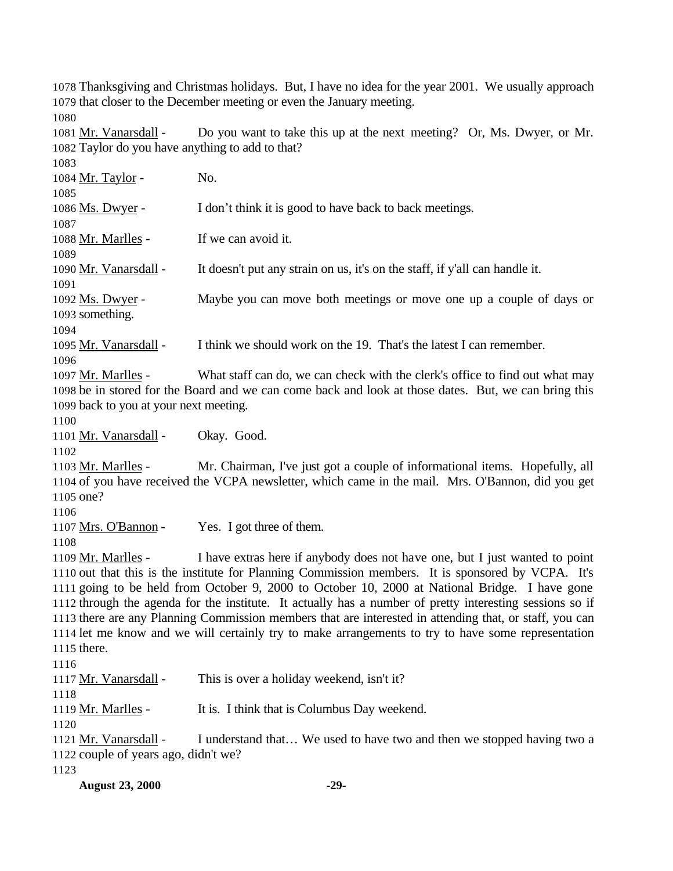Thanksgiving and Christmas holidays. But, I have no idea for the year 2001. We usually approach that closer to the December meeting or even the January meeting. 

1081 Mr. Vanarsdall - Do you want to take this up at the next meeting? Or, Ms. Dwyer, or Mr. Taylor do you have anything to add to that?

**August 23, 2000 -29-** 1084 Mr. Taylor - No. 1086 Ms. Dwyer - I don't think it is good to have back to back meetings. 1088 Mr. Marlles - If we can avoid it. Mr. Vanarsdall - It doesn't put any strain on us, it's on the staff, if y'all can handle it. Ms. Dwyer - Maybe you can move both meetings or move one up a couple of days or something. 1095 Mr. Vanarsdall - I think we should work on the 19. That's the latest I can remember. 1097 Mr. Marlles - What staff can do, we can check with the clerk's office to find out what may be in stored for the Board and we can come back and look at those dates. But, we can bring this back to you at your next meeting. Mr. Vanarsdall - Okay. Good. Mr. Marlles - Mr. Chairman, I've just got a couple of informational items. Hopefully, all of you have received the VCPA newsletter, which came in the mail. Mrs. O'Bannon, did you get one? Mrs. O'Bannon - Yes. I got three of them. Mr. Marlles - I have extras here if anybody does not have one, but I just wanted to point out that this is the institute for Planning Commission members. It is sponsored by VCPA. It's going to be held from October 9, 2000 to October 10, 2000 at National Bridge. I have gone through the agenda for the institute. It actually has a number of pretty interesting sessions so if there are any Planning Commission members that are interested in attending that, or staff, you can let me know and we will certainly try to make arrangements to try to have some representation there. Mr. Vanarsdall - This is over a holiday weekend, isn't it? Mr. Marlles - It is. I think that is Columbus Day weekend. Mr. Vanarsdall - I understand that… We used to have two and then we stopped having two a couple of years ago, didn't we?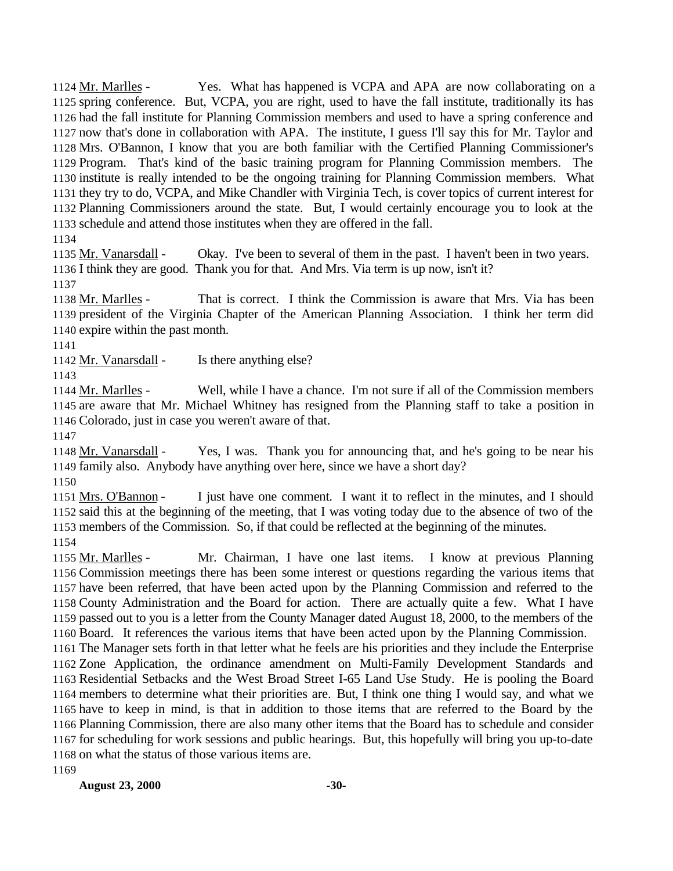Mr. Marlles - Yes. What has happened is VCPA and APA are now collaborating on a spring conference. But, VCPA, you are right, used to have the fall institute, traditionally its has had the fall institute for Planning Commission members and used to have a spring conference and now that's done in collaboration with APA. The institute, I guess I'll say this for Mr. Taylor and Mrs. O'Bannon, I know that you are both familiar with the Certified Planning Commissioner's Program. That's kind of the basic training program for Planning Commission members. The institute is really intended to be the ongoing training for Planning Commission members. What they try to do, VCPA, and Mike Chandler with Virginia Tech, is cover topics of current interest for Planning Commissioners around the state. But, I would certainly encourage you to look at the schedule and attend those institutes when they are offered in the fall. 

1135 Mr. Vanarsdall - Okay. I've been to several of them in the past. I haven't been in two years. I think they are good. Thank you for that. And Mrs. Via term is up now, isn't it?

 Mr. Marlles - That is correct. I think the Commission is aware that Mrs. Via has been president of the Virginia Chapter of the American Planning Association. I think her term did expire within the past month.

1142 Mr. Vanarsdall - Is there anything else? 

 Mr. Marlles - Well, while I have a chance. I'm not sure if all of the Commission members are aware that Mr. Michael Whitney has resigned from the Planning staff to take a position in Colorado, just in case you weren't aware of that.

 Mr. Vanarsdall - Yes, I was. Thank you for announcing that, and he's going to be near his family also. Anybody have anything over here, since we have a short day?

 Mrs. O'Bannon - I just have one comment. I want it to reflect in the minutes, and I should said this at the beginning of the meeting, that I was voting today due to the absence of two of the members of the Commission. So, if that could be reflected at the beginning of the minutes. 

 Mr. Marlles - Mr. Chairman, I have one last items. I know at previous Planning Commission meetings there has been some interest or questions regarding the various items that have been referred, that have been acted upon by the Planning Commission and referred to the County Administration and the Board for action. There are actually quite a few. What I have passed out to you is a letter from the County Manager dated August 18, 2000, to the members of the Board. It references the various items that have been acted upon by the Planning Commission.

 The Manager sets forth in that letter what he feels are his priorities and they include the Enterprise Zone Application, the ordinance amendment on Multi-Family Development Standards and Residential Setbacks and the West Broad Street I-65 Land Use Study. He is pooling the Board members to determine what their priorities are. But, I think one thing I would say, and what we have to keep in mind, is that in addition to those items that are referred to the Board by the Planning Commission, there are also many other items that the Board has to schedule and consider for scheduling for work sessions and public hearings. But, this hopefully will bring you up-to-date on what the status of those various items are.

**August 23, 2000 -30-**